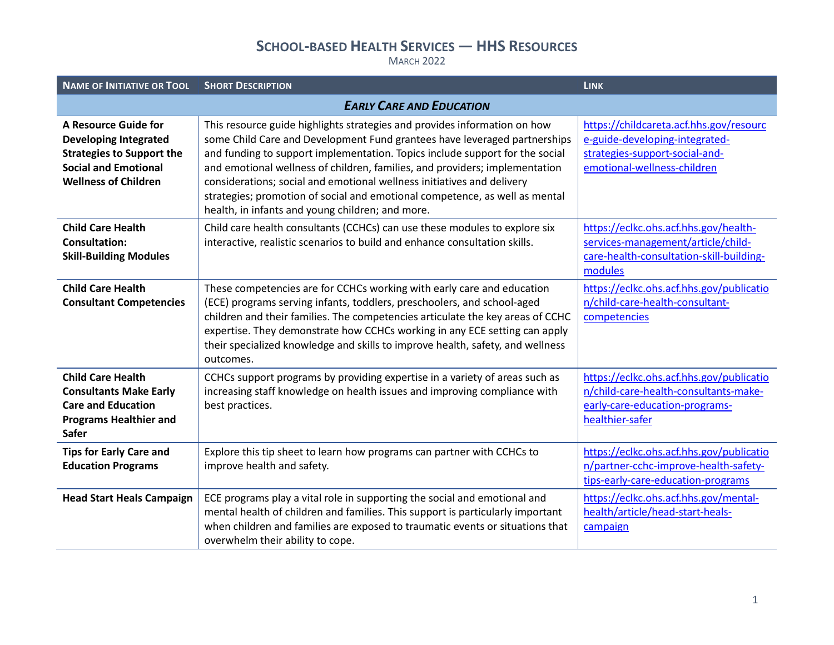| <b>NAME OF INITIATIVE OR TOOL</b>                                                                                                                      | <b>SHORT DESCRIPTION</b>                                                                                                                                                                                                                                                                                                                                                                                                                                                                                                           | <b>LINK</b>                                                                                                                                |
|--------------------------------------------------------------------------------------------------------------------------------------------------------|------------------------------------------------------------------------------------------------------------------------------------------------------------------------------------------------------------------------------------------------------------------------------------------------------------------------------------------------------------------------------------------------------------------------------------------------------------------------------------------------------------------------------------|--------------------------------------------------------------------------------------------------------------------------------------------|
| <b>EARLY CARE AND EDUCATION</b>                                                                                                                        |                                                                                                                                                                                                                                                                                                                                                                                                                                                                                                                                    |                                                                                                                                            |
| A Resource Guide for<br><b>Developing Integrated</b><br><b>Strategies to Support the</b><br><b>Social and Emotional</b><br><b>Wellness of Children</b> | This resource guide highlights strategies and provides information on how<br>some Child Care and Development Fund grantees have leveraged partnerships<br>and funding to support implementation. Topics include support for the social<br>and emotional wellness of children, families, and providers; implementation<br>considerations; social and emotional wellness initiatives and delivery<br>strategies; promotion of social and emotional competence, as well as mental<br>health, in infants and young children; and more. | https://childcareta.acf.hhs.gov/resourc<br>e-guide-developing-integrated-<br>strategies-support-social-and-<br>emotional-wellness-children |
| <b>Child Care Health</b><br><b>Consultation:</b><br><b>Skill-Building Modules</b>                                                                      | Child care health consultants (CCHCs) can use these modules to explore six<br>interactive, realistic scenarios to build and enhance consultation skills.                                                                                                                                                                                                                                                                                                                                                                           | https://eclkc.ohs.acf.hhs.gov/health-<br>services-management/article/child-<br>care-health-consultation-skill-building-<br>modules         |
| <b>Child Care Health</b><br><b>Consultant Competencies</b>                                                                                             | These competencies are for CCHCs working with early care and education<br>(ECE) programs serving infants, toddlers, preschoolers, and school-aged<br>children and their families. The competencies articulate the key areas of CCHC<br>expertise. They demonstrate how CCHCs working in any ECE setting can apply<br>their specialized knowledge and skills to improve health, safety, and wellness<br>outcomes.                                                                                                                   | https://eclkc.ohs.acf.hhs.gov/publicatio<br>n/child-care-health-consultant-<br>competencies                                                |
| <b>Child Care Health</b><br><b>Consultants Make Early</b><br><b>Care and Education</b><br><b>Programs Healthier and</b><br><b>Safer</b>                | CCHCs support programs by providing expertise in a variety of areas such as<br>increasing staff knowledge on health issues and improving compliance with<br>best practices.                                                                                                                                                                                                                                                                                                                                                        | https://eclkc.ohs.acf.hhs.gov/publicatio<br>n/child-care-health-consultants-make-<br>early-care-education-programs-<br>healthier-safer     |
| <b>Tips for Early Care and</b><br><b>Education Programs</b>                                                                                            | Explore this tip sheet to learn how programs can partner with CCHCs to<br>improve health and safety.                                                                                                                                                                                                                                                                                                                                                                                                                               | https://eclkc.ohs.acf.hhs.gov/publicatio<br>n/partner-cchc-improve-health-safety-<br>tips-early-care-education-programs                    |
| <b>Head Start Heals Campaign</b>                                                                                                                       | ECE programs play a vital role in supporting the social and emotional and<br>mental health of children and families. This support is particularly important<br>when children and families are exposed to traumatic events or situations that<br>overwhelm their ability to cope.                                                                                                                                                                                                                                                   | https://eclkc.ohs.acf.hhs.gov/mental-<br>health/article/head-start-heals-<br>campaign                                                      |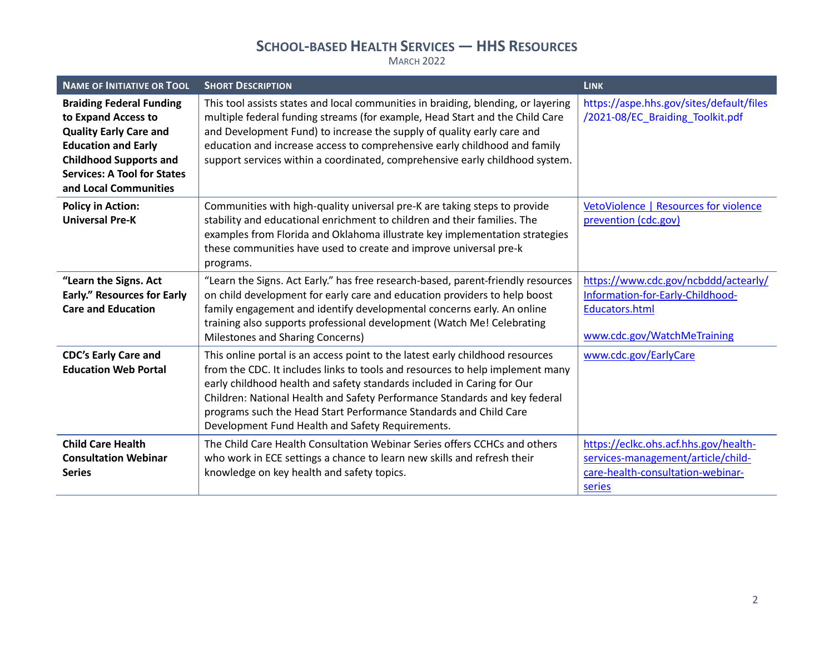| <b>NAME OF INITIATIVE OR TOOL</b>                                                                                                                                                                                     | <b>SHORT DESCRIPTION</b>                                                                                                                                                                                                                                                                                                                                                                                                                        | <b>LINK</b>                                                                                                                      |
|-----------------------------------------------------------------------------------------------------------------------------------------------------------------------------------------------------------------------|-------------------------------------------------------------------------------------------------------------------------------------------------------------------------------------------------------------------------------------------------------------------------------------------------------------------------------------------------------------------------------------------------------------------------------------------------|----------------------------------------------------------------------------------------------------------------------------------|
| <b>Braiding Federal Funding</b><br>to Expand Access to<br><b>Quality Early Care and</b><br><b>Education and Early</b><br><b>Childhood Supports and</b><br><b>Services: A Tool for States</b><br>and Local Communities | This tool assists states and local communities in braiding, blending, or layering<br>multiple federal funding streams (for example, Head Start and the Child Care<br>and Development Fund) to increase the supply of quality early care and<br>education and increase access to comprehensive early childhood and family<br>support services within a coordinated, comprehensive early childhood system.                                        | https://aspe.hhs.gov/sites/default/files<br>/2021-08/EC_Braiding_Toolkit.pdf                                                     |
| <b>Policy in Action:</b><br><b>Universal Pre-K</b>                                                                                                                                                                    | Communities with high-quality universal pre-K are taking steps to provide<br>stability and educational enrichment to children and their families. The<br>examples from Florida and Oklahoma illustrate key implementation strategies<br>these communities have used to create and improve universal pre-k<br>programs.                                                                                                                          | VetoViolence   Resources for violence<br>prevention (cdc.gov)                                                                    |
| "Learn the Signs. Act<br><b>Early." Resources for Early</b><br><b>Care and Education</b>                                                                                                                              | "Learn the Signs. Act Early." has free research-based, parent-friendly resources<br>on child development for early care and education providers to help boost<br>family engagement and identify developmental concerns early. An online<br>training also supports professional development (Watch Me! Celebrating<br>Milestones and Sharing Concerns)                                                                                           | https://www.cdc.gov/ncbddd/actearly/<br>Information-for-Early-Childhood-<br><b>Educators.html</b><br>www.cdc.gov/WatchMeTraining |
| <b>CDC's Early Care and</b><br><b>Education Web Portal</b>                                                                                                                                                            | This online portal is an access point to the latest early childhood resources<br>from the CDC. It includes links to tools and resources to help implement many<br>early childhood health and safety standards included in Caring for Our<br>Children: National Health and Safety Performance Standards and key federal<br>programs such the Head Start Performance Standards and Child Care<br>Development Fund Health and Safety Requirements. | www.cdc.gov/EarlyCare                                                                                                            |
| <b>Child Care Health</b><br><b>Consultation Webinar</b><br><b>Series</b>                                                                                                                                              | The Child Care Health Consultation Webinar Series offers CCHCs and others<br>who work in ECE settings a chance to learn new skills and refresh their<br>knowledge on key health and safety topics.                                                                                                                                                                                                                                              | https://eclkc.ohs.acf.hhs.gov/health-<br>services-management/article/child-<br>care-health-consultation-webinar-<br>series       |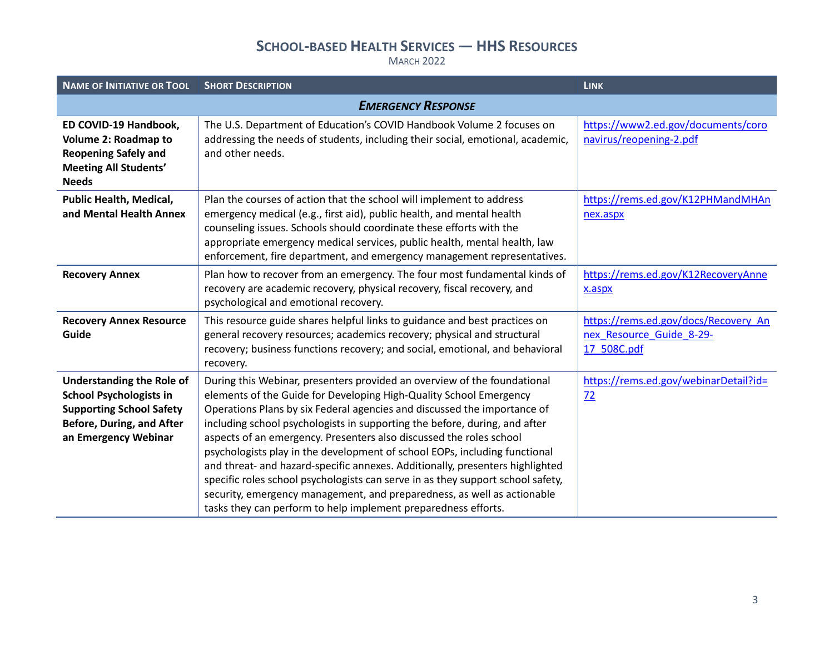| <b>NAME OF INITIATIVE OR TOOL</b>                                                                                                                                 | <b>SHORT DESCRIPTION</b>                                                                                                                                                                                                                                                                                                                                                                                                                                                                                                                                                                                                                                                                                                                                                       | <b>LINK</b>                                                                     |
|-------------------------------------------------------------------------------------------------------------------------------------------------------------------|--------------------------------------------------------------------------------------------------------------------------------------------------------------------------------------------------------------------------------------------------------------------------------------------------------------------------------------------------------------------------------------------------------------------------------------------------------------------------------------------------------------------------------------------------------------------------------------------------------------------------------------------------------------------------------------------------------------------------------------------------------------------------------|---------------------------------------------------------------------------------|
|                                                                                                                                                                   | <b>EMERGENCY RESPONSE</b>                                                                                                                                                                                                                                                                                                                                                                                                                                                                                                                                                                                                                                                                                                                                                      |                                                                                 |
| ED COVID-19 Handbook,<br>Volume 2: Roadmap to<br><b>Reopening Safely and</b><br><b>Meeting All Students'</b><br><b>Needs</b>                                      | The U.S. Department of Education's COVID Handbook Volume 2 focuses on<br>addressing the needs of students, including their social, emotional, academic,<br>and other needs.                                                                                                                                                                                                                                                                                                                                                                                                                                                                                                                                                                                                    | https://www2.ed.gov/documents/coro<br>navirus/reopening-2.pdf                   |
| <b>Public Health, Medical,</b><br>and Mental Health Annex                                                                                                         | Plan the courses of action that the school will implement to address<br>emergency medical (e.g., first aid), public health, and mental health<br>counseling issues. Schools should coordinate these efforts with the<br>appropriate emergency medical services, public health, mental health, law<br>enforcement, fire department, and emergency management representatives.                                                                                                                                                                                                                                                                                                                                                                                                   | https://rems.ed.gov/K12PHMandMHAn<br>nex.aspx                                   |
| <b>Recovery Annex</b>                                                                                                                                             | Plan how to recover from an emergency. The four most fundamental kinds of<br>recovery are academic recovery, physical recovery, fiscal recovery, and<br>psychological and emotional recovery.                                                                                                                                                                                                                                                                                                                                                                                                                                                                                                                                                                                  | https://rems.ed.gov/K12RecoveryAnne<br>x.aspx                                   |
| <b>Recovery Annex Resource</b><br>Guide                                                                                                                           | This resource guide shares helpful links to guidance and best practices on<br>general recovery resources; academics recovery; physical and structural<br>recovery; business functions recovery; and social, emotional, and behavioral<br>recovery.                                                                                                                                                                                                                                                                                                                                                                                                                                                                                                                             | https://rems.ed.gov/docs/Recovery An<br>nex Resource Guide 8-29-<br>17 508C.pdf |
| <b>Understanding the Role of</b><br><b>School Psychologists in</b><br><b>Supporting School Safety</b><br><b>Before, During, and After</b><br>an Emergency Webinar | During this Webinar, presenters provided an overview of the foundational<br>elements of the Guide for Developing High-Quality School Emergency<br>Operations Plans by six Federal agencies and discussed the importance of<br>including school psychologists in supporting the before, during, and after<br>aspects of an emergency. Presenters also discussed the roles school<br>psychologists play in the development of school EOPs, including functional<br>and threat- and hazard-specific annexes. Additionally, presenters highlighted<br>specific roles school psychologists can serve in as they support school safety,<br>security, emergency management, and preparedness, as well as actionable<br>tasks they can perform to help implement preparedness efforts. | https://rems.ed.gov/webinarDetail?id=<br>72                                     |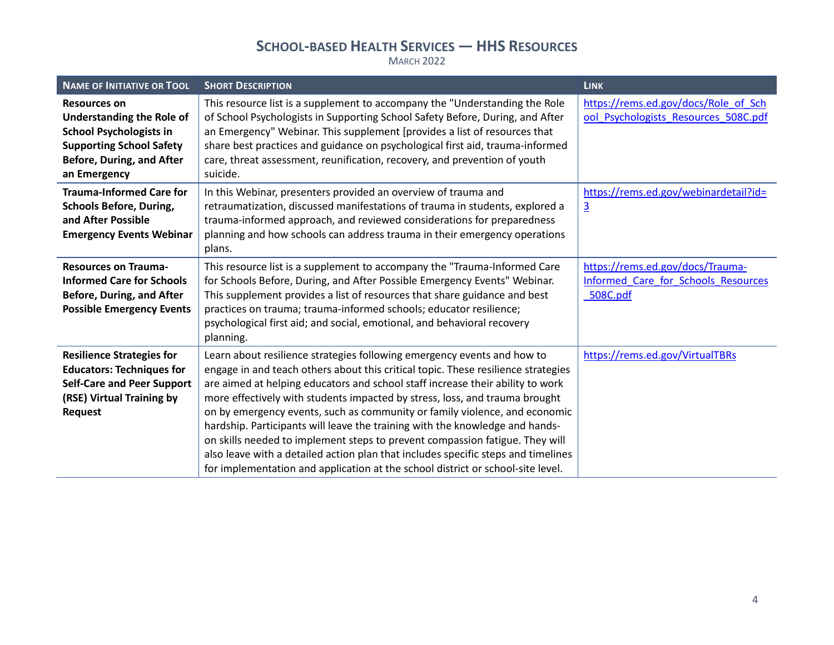| <b>NAME OF INITIATIVE OR TOOL</b>                                                                                                                                                | <b>SHORT DESCRIPTION</b>                                                                                                                                                                                                                                                                                                                                                                                                                                                                                                                                                                                                                                                                                                                            | <b>LINK</b>                                                                         |
|----------------------------------------------------------------------------------------------------------------------------------------------------------------------------------|-----------------------------------------------------------------------------------------------------------------------------------------------------------------------------------------------------------------------------------------------------------------------------------------------------------------------------------------------------------------------------------------------------------------------------------------------------------------------------------------------------------------------------------------------------------------------------------------------------------------------------------------------------------------------------------------------------------------------------------------------------|-------------------------------------------------------------------------------------|
| <b>Resources on</b><br><b>Understanding the Role of</b><br><b>School Psychologists in</b><br><b>Supporting School Safety</b><br><b>Before, During, and After</b><br>an Emergency | This resource list is a supplement to accompany the "Understanding the Role<br>of School Psychologists in Supporting School Safety Before, During, and After<br>an Emergency" Webinar. This supplement [provides a list of resources that<br>share best practices and guidance on psychological first aid, trauma-informed<br>care, threat assessment, reunification, recovery, and prevention of youth<br>suicide.                                                                                                                                                                                                                                                                                                                                 | https://rems.ed.gov/docs/Role_of_Sch<br>ool Psychologists Resources 508C.pdf        |
| <b>Trauma-Informed Care for</b><br><b>Schools Before, During,</b><br>and After Possible<br><b>Emergency Events Webinar</b>                                                       | In this Webinar, presenters provided an overview of trauma and<br>retraumatization, discussed manifestations of trauma in students, explored a<br>trauma-informed approach, and reviewed considerations for preparedness<br>planning and how schools can address trauma in their emergency operations<br>plans.                                                                                                                                                                                                                                                                                                                                                                                                                                     | https://rems.ed.gov/webinardetail?id=<br>$\overline{3}$                             |
| <b>Resources on Trauma-</b><br><b>Informed Care for Schools</b><br><b>Before, During, and After</b><br><b>Possible Emergency Events</b>                                          | This resource list is a supplement to accompany the "Trauma-Informed Care<br>for Schools Before, During, and After Possible Emergency Events" Webinar.<br>This supplement provides a list of resources that share guidance and best<br>practices on trauma; trauma-informed schools; educator resilience;<br>psychological first aid; and social, emotional, and behavioral recovery<br>planning.                                                                                                                                                                                                                                                                                                                                                   | https://rems.ed.gov/docs/Trauma-<br>Informed Care for Schools Resources<br>508C.pdf |
| <b>Resilience Strategies for</b><br><b>Educators: Techniques for</b><br><b>Self-Care and Peer Support</b><br>(RSE) Virtual Training by<br><b>Request</b>                         | Learn about resilience strategies following emergency events and how to<br>engage in and teach others about this critical topic. These resilience strategies<br>are aimed at helping educators and school staff increase their ability to work<br>more effectively with students impacted by stress, loss, and trauma brought<br>on by emergency events, such as community or family violence, and economic<br>hardship. Participants will leave the training with the knowledge and hands-<br>on skills needed to implement steps to prevent compassion fatigue. They will<br>also leave with a detailed action plan that includes specific steps and timelines<br>for implementation and application at the school district or school-site level. | https://rems.ed.gov/VirtualTBRs                                                     |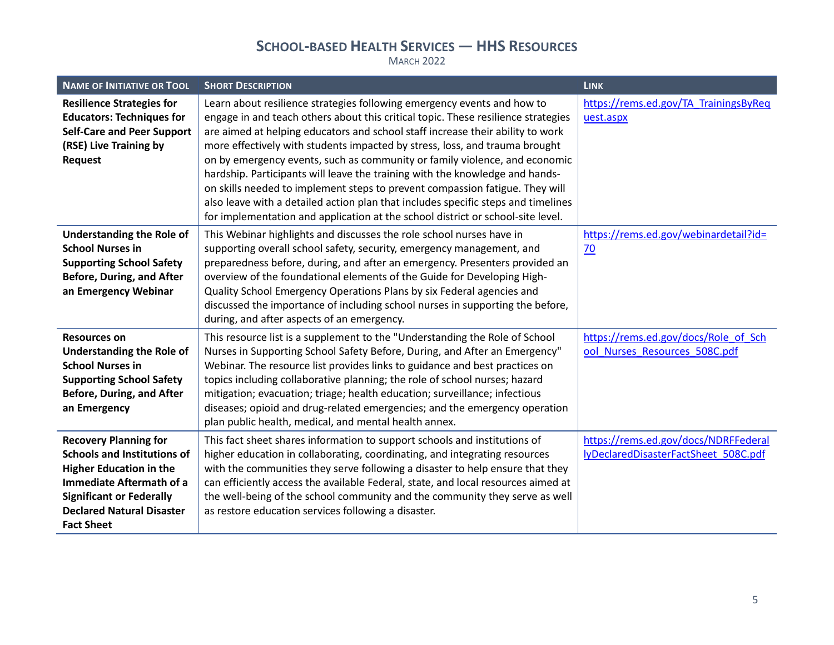| <b>NAME OF INITIATIVE OR TOOL</b>                                                                                                                                                                                                   | <b>SHORT DESCRIPTION</b>                                                                                                                                                                                                                                                                                                                                                                                                                                                                                                                                                                                                                                                                                                                            | <b>LINK</b>                                                                  |
|-------------------------------------------------------------------------------------------------------------------------------------------------------------------------------------------------------------------------------------|-----------------------------------------------------------------------------------------------------------------------------------------------------------------------------------------------------------------------------------------------------------------------------------------------------------------------------------------------------------------------------------------------------------------------------------------------------------------------------------------------------------------------------------------------------------------------------------------------------------------------------------------------------------------------------------------------------------------------------------------------------|------------------------------------------------------------------------------|
| <b>Resilience Strategies for</b><br><b>Educators: Techniques for</b><br><b>Self-Care and Peer Support</b><br>(RSE) Live Training by<br><b>Request</b>                                                                               | Learn about resilience strategies following emergency events and how to<br>engage in and teach others about this critical topic. These resilience strategies<br>are aimed at helping educators and school staff increase their ability to work<br>more effectively with students impacted by stress, loss, and trauma brought<br>on by emergency events, such as community or family violence, and economic<br>hardship. Participants will leave the training with the knowledge and hands-<br>on skills needed to implement steps to prevent compassion fatigue. They will<br>also leave with a detailed action plan that includes specific steps and timelines<br>for implementation and application at the school district or school-site level. | https://rems.ed.gov/TA_TrainingsByReq<br>uest.aspx                           |
| <b>Understanding the Role of</b><br><b>School Nurses in</b><br><b>Supporting School Safety</b><br><b>Before, During, and After</b><br>an Emergency Webinar                                                                          | This Webinar highlights and discusses the role school nurses have in<br>supporting overall school safety, security, emergency management, and<br>preparedness before, during, and after an emergency. Presenters provided an<br>overview of the foundational elements of the Guide for Developing High-<br>Quality School Emergency Operations Plans by six Federal agencies and<br>discussed the importance of including school nurses in supporting the before,<br>during, and after aspects of an emergency.                                                                                                                                                                                                                                     | https://rems.ed.gov/webinardetail?id=<br>70                                  |
| <b>Resources on</b><br><b>Understanding the Role of</b><br><b>School Nurses in</b><br><b>Supporting School Safety</b><br><b>Before, During, and After</b><br>an Emergency                                                           | This resource list is a supplement to the "Understanding the Role of School<br>Nurses in Supporting School Safety Before, During, and After an Emergency"<br>Webinar. The resource list provides links to guidance and best practices on<br>topics including collaborative planning; the role of school nurses; hazard<br>mitigation; evacuation; triage; health education; surveillance; infectious<br>diseases; opioid and drug-related emergencies; and the emergency operation<br>plan public health, medical, and mental health annex.                                                                                                                                                                                                         | https://rems.ed.gov/docs/Role_of_Sch<br>ool Nurses Resources 508C.pdf        |
| <b>Recovery Planning for</b><br><b>Schools and Institutions of</b><br><b>Higher Education in the</b><br><b>Immediate Aftermath of a</b><br><b>Significant or Federally</b><br><b>Declared Natural Disaster</b><br><b>Fact Sheet</b> | This fact sheet shares information to support schools and institutions of<br>higher education in collaborating, coordinating, and integrating resources<br>with the communities they serve following a disaster to help ensure that they<br>can efficiently access the available Federal, state, and local resources aimed at<br>the well-being of the school community and the community they serve as well<br>as restore education services following a disaster.                                                                                                                                                                                                                                                                                 | https://rems.ed.gov/docs/NDRFFederal<br>lyDeclaredDisasterFactSheet 508C.pdf |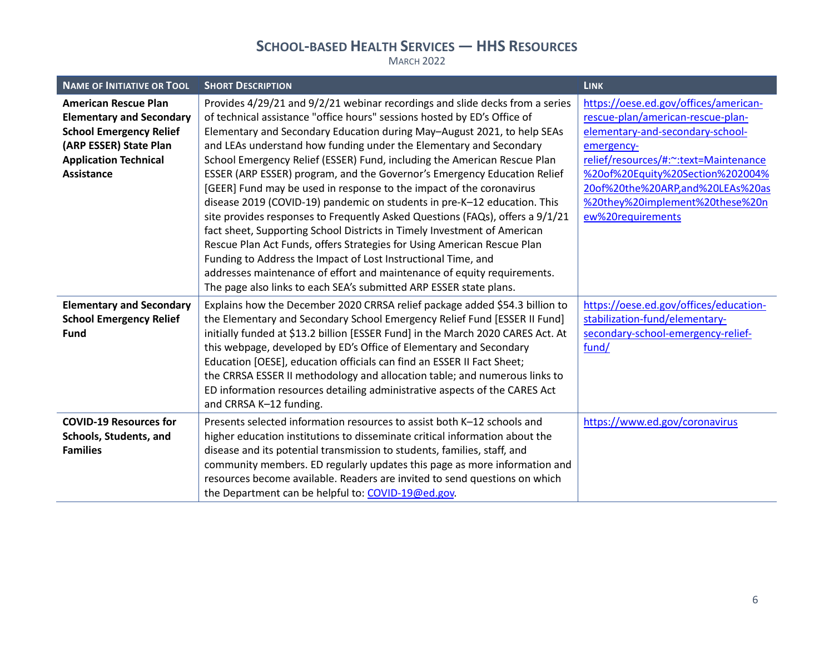| <b>NAME OF INITIATIVE OR TOOL</b>                                                                                                                                               | <b>SHORT DESCRIPTION</b>                                                                                                                                                                                                                                                                                                                                                                                                                                                                                                                                                                                                                                                                                                                                                                                                                                                                                                       | <b>LINK</b>                                                                                                                                                                                                                                                                                            |
|---------------------------------------------------------------------------------------------------------------------------------------------------------------------------------|--------------------------------------------------------------------------------------------------------------------------------------------------------------------------------------------------------------------------------------------------------------------------------------------------------------------------------------------------------------------------------------------------------------------------------------------------------------------------------------------------------------------------------------------------------------------------------------------------------------------------------------------------------------------------------------------------------------------------------------------------------------------------------------------------------------------------------------------------------------------------------------------------------------------------------|--------------------------------------------------------------------------------------------------------------------------------------------------------------------------------------------------------------------------------------------------------------------------------------------------------|
| <b>American Rescue Plan</b><br><b>Elementary and Secondary</b><br><b>School Emergency Relief</b><br>(ARP ESSER) State Plan<br><b>Application Technical</b><br><b>Assistance</b> | Provides 4/29/21 and 9/2/21 webinar recordings and slide decks from a series<br>of technical assistance "office hours" sessions hosted by ED's Office of<br>Elementary and Secondary Education during May-August 2021, to help SEAs<br>and LEAs understand how funding under the Elementary and Secondary<br>School Emergency Relief (ESSER) Fund, including the American Rescue Plan<br>ESSER (ARP ESSER) program, and the Governor's Emergency Education Relief<br>[GEER] Fund may be used in response to the impact of the coronavirus<br>disease 2019 (COVID-19) pandemic on students in pre-K-12 education. This<br>site provides responses to Frequently Asked Questions (FAQs), offers a 9/1/21<br>fact sheet, Supporting School Districts in Timely Investment of American<br>Rescue Plan Act Funds, offers Strategies for Using American Rescue Plan<br>Funding to Address the Impact of Lost Instructional Time, and | https://oese.ed.gov/offices/american-<br>rescue-plan/american-rescue-plan-<br>elementary-and-secondary-school-<br>emergency-<br>relief/resources/#:~: text=Maintenance<br>%20of%20Equity%20Section%202004%<br>20of%20the%20ARP,and%20LEAs%20as<br>%20they%20implement%20these%20n<br>ew%20requirements |
|                                                                                                                                                                                 | addresses maintenance of effort and maintenance of equity requirements.<br>The page also links to each SEA's submitted ARP ESSER state plans.                                                                                                                                                                                                                                                                                                                                                                                                                                                                                                                                                                                                                                                                                                                                                                                  |                                                                                                                                                                                                                                                                                                        |
| <b>Elementary and Secondary</b><br><b>School Emergency Relief</b><br><b>Fund</b>                                                                                                | Explains how the December 2020 CRRSA relief package added \$54.3 billion to<br>the Elementary and Secondary School Emergency Relief Fund [ESSER II Fund]<br>initially funded at \$13.2 billion [ESSER Fund] in the March 2020 CARES Act. At<br>this webpage, developed by ED's Office of Elementary and Secondary<br>Education [OESE], education officials can find an ESSER II Fact Sheet;<br>the CRRSA ESSER II methodology and allocation table; and numerous links to<br>ED information resources detailing administrative aspects of the CARES Act<br>and CRRSA K-12 funding.                                                                                                                                                                                                                                                                                                                                             | https://oese.ed.gov/offices/education-<br>stabilization-fund/elementary-<br>secondary-school-emergency-relief-<br>fund/                                                                                                                                                                                |
| <b>COVID-19 Resources for</b><br>Schools, Students, and<br><b>Families</b>                                                                                                      | Presents selected information resources to assist both K-12 schools and<br>higher education institutions to disseminate critical information about the<br>disease and its potential transmission to students, families, staff, and<br>community members. ED regularly updates this page as more information and<br>resources become available. Readers are invited to send questions on which<br>the Department can be helpful to: COVID-19@ed.gov.                                                                                                                                                                                                                                                                                                                                                                                                                                                                            | https://www.ed.gov/coronavirus                                                                                                                                                                                                                                                                         |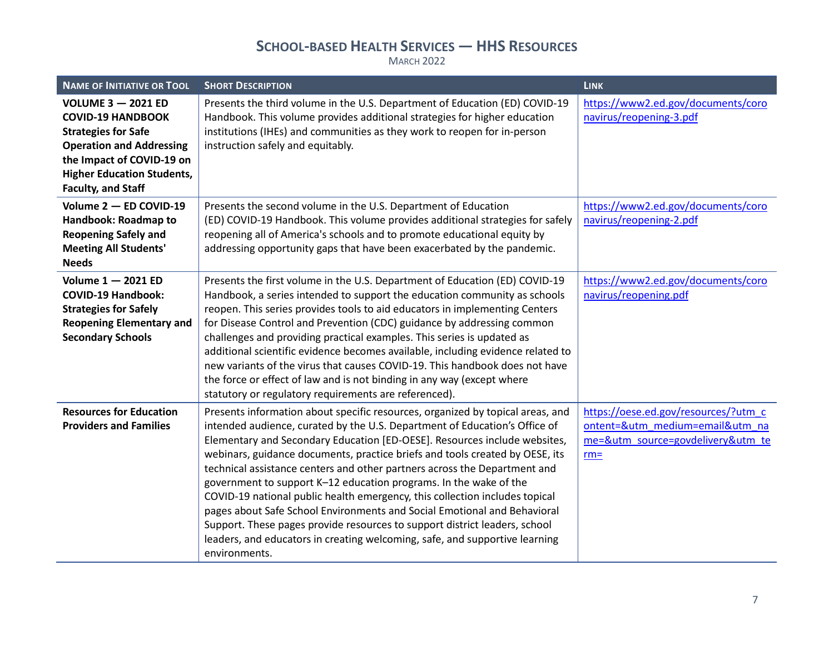| <b>NAME OF INITIATIVE OR TOOL</b>                                                                                                                                                                                     | <b>SHORT DESCRIPTION</b>                                                                                                                                                                                                                                                                                                                                                                                                                                                                                                                                                                                                                                                                                                                                                                                             | <b>LINK</b>                                                                                                            |
|-----------------------------------------------------------------------------------------------------------------------------------------------------------------------------------------------------------------------|----------------------------------------------------------------------------------------------------------------------------------------------------------------------------------------------------------------------------------------------------------------------------------------------------------------------------------------------------------------------------------------------------------------------------------------------------------------------------------------------------------------------------------------------------------------------------------------------------------------------------------------------------------------------------------------------------------------------------------------------------------------------------------------------------------------------|------------------------------------------------------------------------------------------------------------------------|
| <b>VOLUME 3 - 2021 ED</b><br><b>COVID-19 HANDBOOK</b><br><b>Strategies for Safe</b><br><b>Operation and Addressing</b><br>the Impact of COVID-19 on<br><b>Higher Education Students,</b><br><b>Faculty, and Staff</b> | Presents the third volume in the U.S. Department of Education (ED) COVID-19<br>Handbook. This volume provides additional strategies for higher education<br>institutions (IHEs) and communities as they work to reopen for in-person<br>instruction safely and equitably.                                                                                                                                                                                                                                                                                                                                                                                                                                                                                                                                            | https://www2.ed.gov/documents/coro<br>navirus/reopening-3.pdf                                                          |
| Volume 2 - ED COVID-19<br>Handbook: Roadmap to<br><b>Reopening Safely and</b><br><b>Meeting All Students'</b><br><b>Needs</b>                                                                                         | Presents the second volume in the U.S. Department of Education<br>(ED) COVID-19 Handbook. This volume provides additional strategies for safely<br>reopening all of America's schools and to promote educational equity by<br>addressing opportunity gaps that have been exacerbated by the pandemic.                                                                                                                                                                                                                                                                                                                                                                                                                                                                                                                | https://www2.ed.gov/documents/coro<br>navirus/reopening-2.pdf                                                          |
| Volume 1 - 2021 ED<br><b>COVID-19 Handbook:</b><br><b>Strategies for Safely</b><br><b>Reopening Elementary and</b><br><b>Secondary Schools</b>                                                                        | Presents the first volume in the U.S. Department of Education (ED) COVID-19<br>Handbook, a series intended to support the education community as schools<br>reopen. This series provides tools to aid educators in implementing Centers<br>for Disease Control and Prevention (CDC) guidance by addressing common<br>challenges and providing practical examples. This series is updated as<br>additional scientific evidence becomes available, including evidence related to<br>new variants of the virus that causes COVID-19. This handbook does not have<br>the force or effect of law and is not binding in any way (except where<br>statutory or regulatory requirements are referenced).                                                                                                                     | https://www2.ed.gov/documents/coro<br>navirus/reopening.pdf                                                            |
| <b>Resources for Education</b><br><b>Providers and Families</b>                                                                                                                                                       | Presents information about specific resources, organized by topical areas, and<br>intended audience, curated by the U.S. Department of Education's Office of<br>Elementary and Secondary Education [ED-OESE]. Resources include websites,<br>webinars, guidance documents, practice briefs and tools created by OESE, its<br>technical assistance centers and other partners across the Department and<br>government to support K-12 education programs. In the wake of the<br>COVID-19 national public health emergency, this collection includes topical<br>pages about Safe School Environments and Social Emotional and Behavioral<br>Support. These pages provide resources to support district leaders, school<br>leaders, and educators in creating welcoming, safe, and supportive learning<br>environments. | https://oese.ed.gov/resources/?utm_c<br>ontent=&utm medium=email&utm na<br>me=&utm_source=govdelivery&utm_te<br>$rm =$ |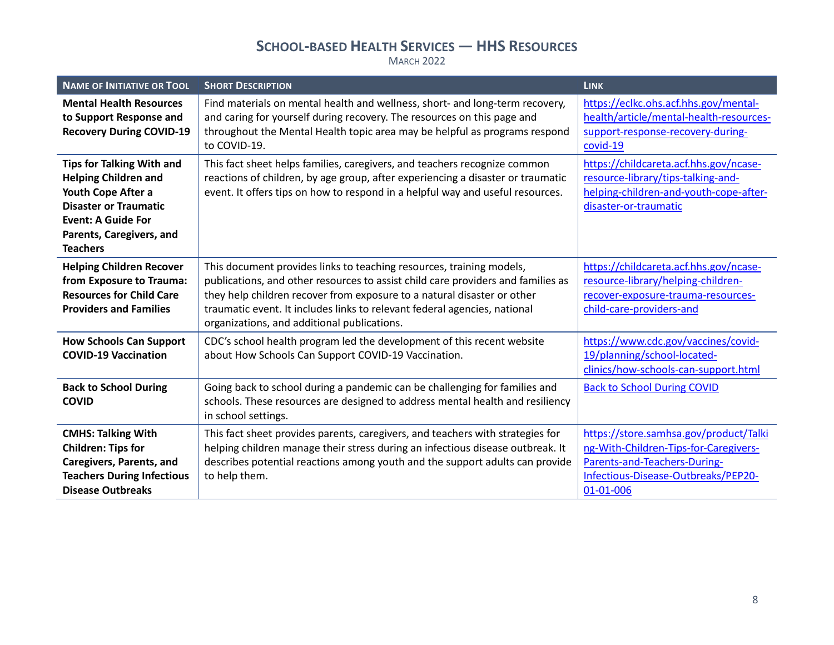| <b>NAME OF INITIATIVE OR TOOL</b>                                                                                                                                                                 | <b>SHORT DESCRIPTION</b>                                                                                                                                                                                                                                                                                                                                        | <b>LINK</b>                                                                                                                                                         |
|---------------------------------------------------------------------------------------------------------------------------------------------------------------------------------------------------|-----------------------------------------------------------------------------------------------------------------------------------------------------------------------------------------------------------------------------------------------------------------------------------------------------------------------------------------------------------------|---------------------------------------------------------------------------------------------------------------------------------------------------------------------|
| <b>Mental Health Resources</b><br>to Support Response and<br><b>Recovery During COVID-19</b>                                                                                                      | Find materials on mental health and wellness, short- and long-term recovery,<br>and caring for yourself during recovery. The resources on this page and<br>throughout the Mental Health topic area may be helpful as programs respond<br>to COVID-19.                                                                                                           | https://eclkc.ohs.acf.hhs.gov/mental-<br>health/article/mental-health-resources-<br>support-response-recovery-during-<br>covid-19                                   |
| <b>Tips for Talking With and</b><br><b>Helping Children and</b><br>Youth Cope After a<br><b>Disaster or Traumatic</b><br><b>Event: A Guide For</b><br>Parents, Caregivers, and<br><b>Teachers</b> | This fact sheet helps families, caregivers, and teachers recognize common<br>reactions of children, by age group, after experiencing a disaster or traumatic<br>event. It offers tips on how to respond in a helpful way and useful resources.                                                                                                                  | https://childcareta.acf.hhs.gov/ncase-<br>resource-library/tips-talking-and-<br>helping-children-and-youth-cope-after-<br>disaster-or-traumatic                     |
| <b>Helping Children Recover</b><br>from Exposure to Trauma:<br><b>Resources for Child Care</b><br><b>Providers and Families</b>                                                                   | This document provides links to teaching resources, training models,<br>publications, and other resources to assist child care providers and families as<br>they help children recover from exposure to a natural disaster or other<br>traumatic event. It includes links to relevant federal agencies, national<br>organizations, and additional publications. | https://childcareta.acf.hhs.gov/ncase-<br>resource-library/helping-children-<br>recover-exposure-trauma-resources-<br>child-care-providers-and                      |
| <b>How Schools Can Support</b><br><b>COVID-19 Vaccination</b>                                                                                                                                     | CDC's school health program led the development of this recent website<br>about How Schools Can Support COVID-19 Vaccination.                                                                                                                                                                                                                                   | https://www.cdc.gov/vaccines/covid-<br>19/planning/school-located-<br>clinics/how-schools-can-support.html                                                          |
| <b>Back to School During</b><br><b>COVID</b>                                                                                                                                                      | Going back to school during a pandemic can be challenging for families and<br>schools. These resources are designed to address mental health and resiliency<br>in school settings.                                                                                                                                                                              | <b>Back to School During COVID</b>                                                                                                                                  |
| <b>CMHS: Talking With</b><br><b>Children: Tips for</b><br><b>Caregivers, Parents, and</b><br><b>Teachers During Infectious</b><br><b>Disease Outbreaks</b>                                        | This fact sheet provides parents, caregivers, and teachers with strategies for<br>helping children manage their stress during an infectious disease outbreak. It<br>describes potential reactions among youth and the support adults can provide<br>to help them.                                                                                               | https://store.samhsa.gov/product/Talki<br>ng-With-Children-Tips-for-Caregivers-<br>Parents-and-Teachers-During-<br>Infectious-Disease-Outbreaks/PEP20-<br>01-01-006 |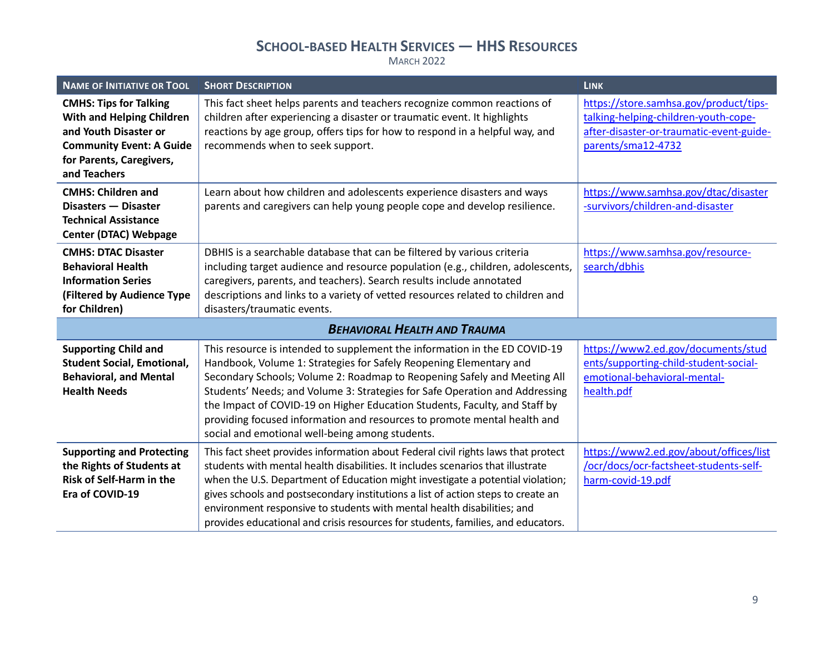| <b>NAME OF INITIATIVE OR TOOL</b>                                                                                                                                         | <b>SHORT DESCRIPTION</b>                                                                                                                                                                                                                                                                                                                                                                                                                                                                                                 | <b>LINK</b>                                                                                                                                      |
|---------------------------------------------------------------------------------------------------------------------------------------------------------------------------|--------------------------------------------------------------------------------------------------------------------------------------------------------------------------------------------------------------------------------------------------------------------------------------------------------------------------------------------------------------------------------------------------------------------------------------------------------------------------------------------------------------------------|--------------------------------------------------------------------------------------------------------------------------------------------------|
| <b>CMHS: Tips for Talking</b><br><b>With and Helping Children</b><br>and Youth Disaster or<br><b>Community Event: A Guide</b><br>for Parents, Caregivers,<br>and Teachers | This fact sheet helps parents and teachers recognize common reactions of<br>children after experiencing a disaster or traumatic event. It highlights<br>reactions by age group, offers tips for how to respond in a helpful way, and<br>recommends when to seek support.                                                                                                                                                                                                                                                 | https://store.samhsa.gov/product/tips-<br>talking-helping-children-youth-cope-<br>after-disaster-or-traumatic-event-guide-<br>parents/sma12-4732 |
| <b>CMHS: Children and</b><br>Disasters - Disaster<br><b>Technical Assistance</b><br><b>Center (DTAC) Webpage</b>                                                          | Learn about how children and adolescents experience disasters and ways<br>parents and caregivers can help young people cope and develop resilience.                                                                                                                                                                                                                                                                                                                                                                      | https://www.samhsa.gov/dtac/disaster<br>-survivors/children-and-disaster                                                                         |
| <b>CMHS: DTAC Disaster</b><br><b>Behavioral Health</b><br><b>Information Series</b><br>(Filtered by Audience Type<br>for Children)                                        | DBHIS is a searchable database that can be filtered by various criteria<br>including target audience and resource population (e.g., children, adolescents,<br>caregivers, parents, and teachers). Search results include annotated<br>descriptions and links to a variety of vetted resources related to children and<br>disasters/traumatic events.                                                                                                                                                                     | https://www.samhsa.gov/resource-<br>search/dbhis                                                                                                 |
|                                                                                                                                                                           | <b>BEHAVIORAL HEALTH AND TRAUMA</b>                                                                                                                                                                                                                                                                                                                                                                                                                                                                                      |                                                                                                                                                  |
| <b>Supporting Child and</b><br><b>Student Social, Emotional,</b><br><b>Behavioral, and Mental</b><br><b>Health Needs</b>                                                  | This resource is intended to supplement the information in the ED COVID-19<br>Handbook, Volume 1: Strategies for Safely Reopening Elementary and<br>Secondary Schools; Volume 2: Roadmap to Reopening Safely and Meeting All<br>Students' Needs; and Volume 3: Strategies for Safe Operation and Addressing<br>the Impact of COVID-19 on Higher Education Students, Faculty, and Staff by<br>providing focused information and resources to promote mental health and<br>social and emotional well-being among students. | https://www2.ed.gov/documents/stud<br>ents/supporting-child-student-social-<br>emotional-behavioral-mental-<br>health.pdf                        |
| <b>Supporting and Protecting</b><br>the Rights of Students at<br>Risk of Self-Harm in the<br>Era of COVID-19                                                              | This fact sheet provides information about Federal civil rights laws that protect<br>students with mental health disabilities. It includes scenarios that illustrate<br>when the U.S. Department of Education might investigate a potential violation;<br>gives schools and postsecondary institutions a list of action steps to create an<br>environment responsive to students with mental health disabilities; and<br>provides educational and crisis resources for students, families, and educators.                | https://www2.ed.gov/about/offices/list<br>/ocr/docs/ocr-factsheet-students-self-<br>harm-covid-19.pdf                                            |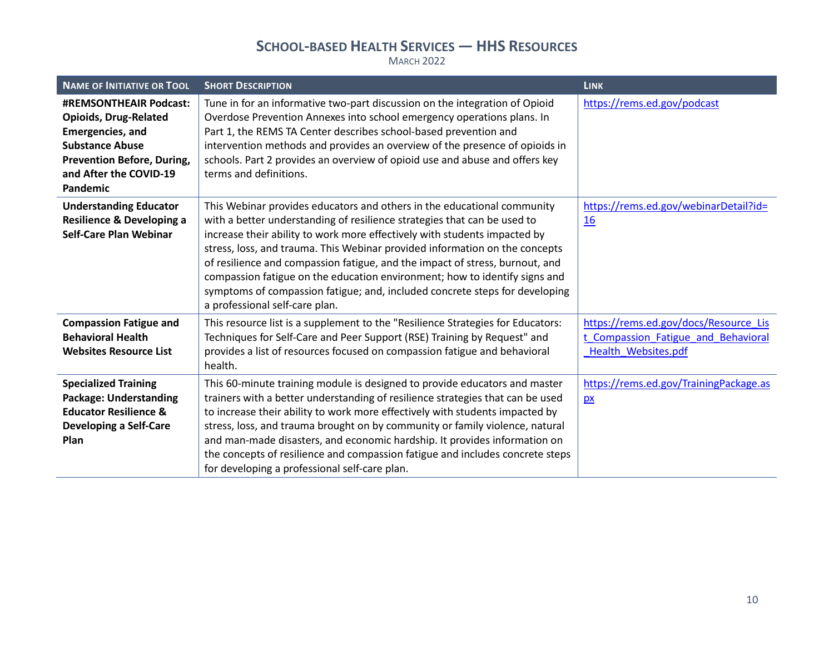| <b>NAME OF INITIATIVE OR TOOL</b>                                                                                                                                                             | <b>SHORT DESCRIPTION</b>                                                                                                                                                                                                                                                                                                                                                                                                                                                                                                                                                                       | <b>LINK</b>                                                                                         |
|-----------------------------------------------------------------------------------------------------------------------------------------------------------------------------------------------|------------------------------------------------------------------------------------------------------------------------------------------------------------------------------------------------------------------------------------------------------------------------------------------------------------------------------------------------------------------------------------------------------------------------------------------------------------------------------------------------------------------------------------------------------------------------------------------------|-----------------------------------------------------------------------------------------------------|
| <b>#REMSONTHEAIR Podcast:</b><br><b>Opioids, Drug-Related</b><br><b>Emergencies, and</b><br><b>Substance Abuse</b><br><b>Prevention Before, During,</b><br>and After the COVID-19<br>Pandemic | Tune in for an informative two-part discussion on the integration of Opioid<br>Overdose Prevention Annexes into school emergency operations plans. In<br>Part 1, the REMS TA Center describes school-based prevention and<br>intervention methods and provides an overview of the presence of opioids in<br>schools. Part 2 provides an overview of opioid use and abuse and offers key<br>terms and definitions.                                                                                                                                                                              | https://rems.ed.gov/podcast                                                                         |
| <b>Understanding Educator</b><br>Resilience & Developing a<br><b>Self-Care Plan Webinar</b>                                                                                                   | This Webinar provides educators and others in the educational community<br>with a better understanding of resilience strategies that can be used to<br>increase their ability to work more effectively with students impacted by<br>stress, loss, and trauma. This Webinar provided information on the concepts<br>of resilience and compassion fatigue, and the impact of stress, burnout, and<br>compassion fatigue on the education environment; how to identify signs and<br>symptoms of compassion fatigue; and, included concrete steps for developing<br>a professional self-care plan. | https://rems.ed.gov/webinarDetail?id=<br>16                                                         |
| <b>Compassion Fatigue and</b><br><b>Behavioral Health</b><br><b>Websites Resource List</b>                                                                                                    | This resource list is a supplement to the "Resilience Strategies for Educators:<br>Techniques for Self-Care and Peer Support (RSE) Training by Request" and<br>provides a list of resources focused on compassion fatigue and behavioral<br>health.                                                                                                                                                                                                                                                                                                                                            | https://rems.ed.gov/docs/Resource Lis<br>t Compassion Fatigue and Behavioral<br>Health Websites.pdf |
| <b>Specialized Training</b><br><b>Package: Understanding</b><br><b>Educator Resilience &amp;</b><br><b>Developing a Self-Care</b><br>Plan                                                     | This 60-minute training module is designed to provide educators and master<br>trainers with a better understanding of resilience strategies that can be used<br>to increase their ability to work more effectively with students impacted by<br>stress, loss, and trauma brought on by community or family violence, natural<br>and man-made disasters, and economic hardship. It provides information on<br>the concepts of resilience and compassion fatigue and includes concrete steps<br>for developing a professional self-care plan.                                                    | https://rems.ed.gov/TrainingPackage.as<br>$\mathbf{p}$                                              |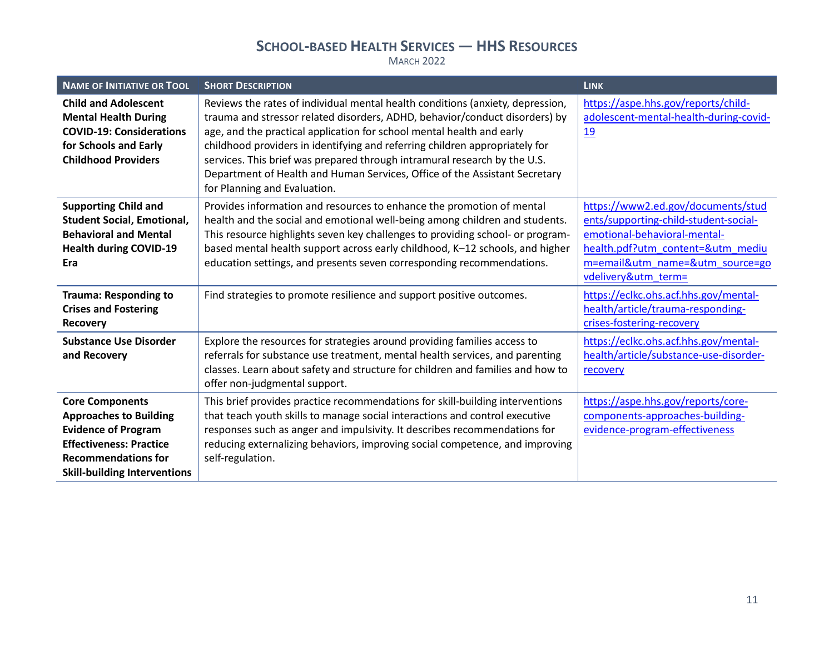| <b>NAME OF INITIATIVE OR TOOL</b>                                                                                                                                                            | <b>SHORT DESCRIPTION</b>                                                                                                                                                                                                                                                                                                                                                                                                                                                                                         | <b>LINK</b>                                                                                                                                                                                                |
|----------------------------------------------------------------------------------------------------------------------------------------------------------------------------------------------|------------------------------------------------------------------------------------------------------------------------------------------------------------------------------------------------------------------------------------------------------------------------------------------------------------------------------------------------------------------------------------------------------------------------------------------------------------------------------------------------------------------|------------------------------------------------------------------------------------------------------------------------------------------------------------------------------------------------------------|
| <b>Child and Adolescent</b><br><b>Mental Health During</b><br><b>COVID-19: Considerations</b><br>for Schools and Early<br><b>Childhood Providers</b>                                         | Reviews the rates of individual mental health conditions (anxiety, depression,<br>trauma and stressor related disorders, ADHD, behavior/conduct disorders) by<br>age, and the practical application for school mental health and early<br>childhood providers in identifying and referring children appropriately for<br>services. This brief was prepared through intramural research by the U.S.<br>Department of Health and Human Services, Office of the Assistant Secretary<br>for Planning and Evaluation. | https://aspe.hhs.gov/reports/child-<br>adolescent-mental-health-during-covid-<br><u>19</u>                                                                                                                 |
| <b>Supporting Child and</b><br><b>Student Social, Emotional,</b><br><b>Behavioral and Mental</b><br><b>Health during COVID-19</b><br>Era                                                     | Provides information and resources to enhance the promotion of mental<br>health and the social and emotional well-being among children and students.<br>This resource highlights seven key challenges to providing school- or program-<br>based mental health support across early childhood, K-12 schools, and higher<br>education settings, and presents seven corresponding recommendations.                                                                                                                  | https://www2.ed.gov/documents/stud<br>ents/supporting-child-student-social-<br>emotional-behavioral-mental-<br>health.pdf?utm content=&utm mediu<br>m=email&utm_name=&utm_source=go<br>vdelivery&utm_term= |
| <b>Trauma: Responding to</b><br><b>Crises and Fostering</b><br><b>Recovery</b>                                                                                                               | Find strategies to promote resilience and support positive outcomes.                                                                                                                                                                                                                                                                                                                                                                                                                                             | https://eclkc.ohs.acf.hhs.gov/mental-<br>health/article/trauma-responding-<br>crises-fostering-recovery                                                                                                    |
| <b>Substance Use Disorder</b><br>and Recovery                                                                                                                                                | Explore the resources for strategies around providing families access to<br>referrals for substance use treatment, mental health services, and parenting<br>classes. Learn about safety and structure for children and families and how to<br>offer non-judgmental support.                                                                                                                                                                                                                                      | https://eclkc.ohs.acf.hhs.gov/mental-<br>health/article/substance-use-disorder-<br>recovery                                                                                                                |
| <b>Core Components</b><br><b>Approaches to Building</b><br><b>Evidence of Program</b><br><b>Effectiveness: Practice</b><br><b>Recommendations for</b><br><b>Skill-building Interventions</b> | This brief provides practice recommendations for skill-building interventions<br>that teach youth skills to manage social interactions and control executive<br>responses such as anger and impulsivity. It describes recommendations for<br>reducing externalizing behaviors, improving social competence, and improving<br>self-regulation.                                                                                                                                                                    | https://aspe.hhs.gov/reports/core-<br>components-approaches-building-<br>evidence-program-effectiveness                                                                                                    |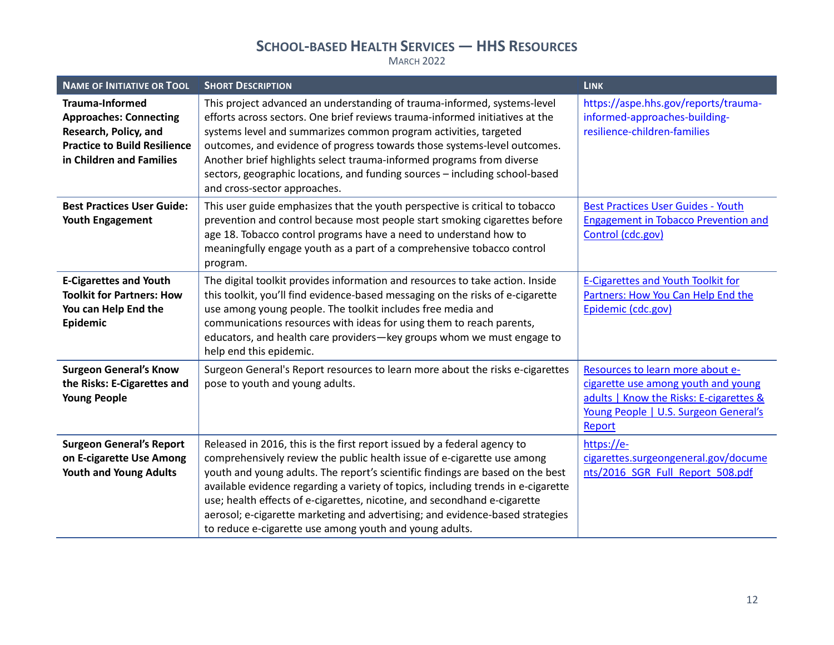| <b>NAME OF INITIATIVE OR TOOL</b>                                                                                                                   | <b>SHORT DESCRIPTION</b>                                                                                                                                                                                                                                                                                                                                                                                                                                                                                                                            | <b>LINK</b>                                                                                                                                                           |
|-----------------------------------------------------------------------------------------------------------------------------------------------------|-----------------------------------------------------------------------------------------------------------------------------------------------------------------------------------------------------------------------------------------------------------------------------------------------------------------------------------------------------------------------------------------------------------------------------------------------------------------------------------------------------------------------------------------------------|-----------------------------------------------------------------------------------------------------------------------------------------------------------------------|
| <b>Trauma-Informed</b><br><b>Approaches: Connecting</b><br>Research, Policy, and<br><b>Practice to Build Resilience</b><br>in Children and Families | This project advanced an understanding of trauma-informed, systems-level<br>efforts across sectors. One brief reviews trauma-informed initiatives at the<br>systems level and summarizes common program activities, targeted<br>outcomes, and evidence of progress towards those systems-level outcomes.<br>Another brief highlights select trauma-informed programs from diverse<br>sectors, geographic locations, and funding sources - including school-based<br>and cross-sector approaches.                                                    | https://aspe.hhs.gov/reports/trauma-<br>informed-approaches-building-<br>resilience-children-families                                                                 |
| <b>Best Practices User Guide:</b><br><b>Youth Engagement</b>                                                                                        | This user guide emphasizes that the youth perspective is critical to tobacco<br>prevention and control because most people start smoking cigarettes before<br>age 18. Tobacco control programs have a need to understand how to<br>meaningfully engage youth as a part of a comprehensive tobacco control<br>program.                                                                                                                                                                                                                               | <b>Best Practices User Guides - Youth</b><br><b>Engagement in Tobacco Prevention and</b><br>Control (cdc.gov)                                                         |
| <b>E-Cigarettes and Youth</b><br><b>Toolkit for Partners: How</b><br>You can Help End the<br>Epidemic                                               | The digital toolkit provides information and resources to take action. Inside<br>this toolkit, you'll find evidence-based messaging on the risks of e-cigarette<br>use among young people. The toolkit includes free media and<br>communications resources with ideas for using them to reach parents,<br>educators, and health care providers-key groups whom we must engage to<br>help end this epidemic.                                                                                                                                         | <b>E-Cigarettes and Youth Toolkit for</b><br>Partners: How You Can Help End the<br>Epidemic (cdc.gov)                                                                 |
| <b>Surgeon General's Know</b><br>the Risks: E-Cigarettes and<br><b>Young People</b>                                                                 | Surgeon General's Report resources to learn more about the risks e-cigarettes<br>pose to youth and young adults.                                                                                                                                                                                                                                                                                                                                                                                                                                    | Resources to learn more about e-<br>cigarette use among youth and young<br>adults   Know the Risks: E-cigarettes &<br>Young People   U.S. Surgeon General's<br>Report |
| <b>Surgeon General's Report</b><br>on E-cigarette Use Among<br><b>Youth and Young Adults</b>                                                        | Released in 2016, this is the first report issued by a federal agency to<br>comprehensively review the public health issue of e-cigarette use among<br>youth and young adults. The report's scientific findings are based on the best<br>available evidence regarding a variety of topics, including trends in e-cigarette<br>use; health effects of e-cigarettes, nicotine, and secondhand e-cigarette<br>aerosol; e-cigarette marketing and advertising; and evidence-based strategies<br>to reduce e-cigarette use among youth and young adults. | https://e-<br>cigarettes.surgeongeneral.gov/docume<br>nts/2016 SGR Full Report 508.pdf                                                                                |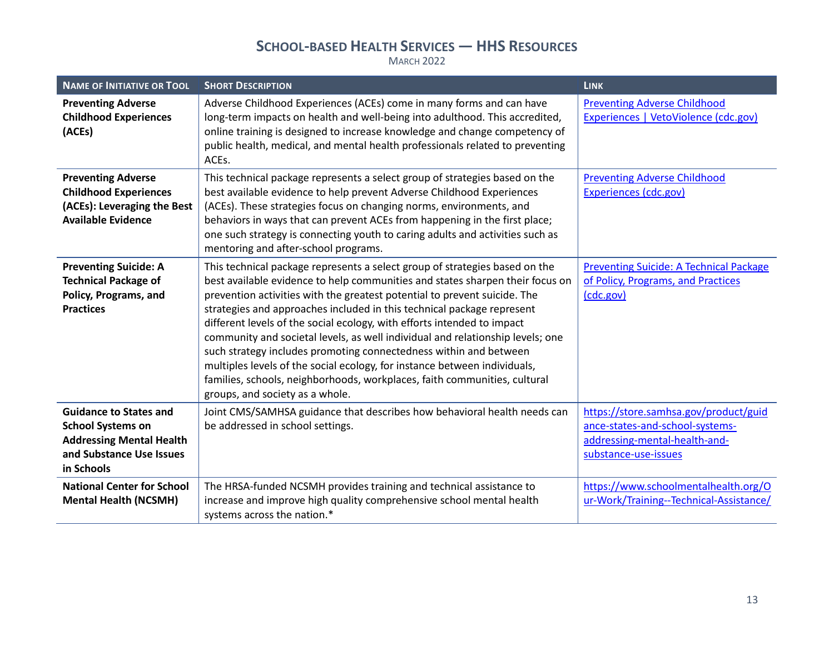| <b>NAME OF INITIATIVE OR TOOL</b>                                                                                                      | <b>SHORT DESCRIPTION</b>                                                                                                                                                                                                                                                                                                                                                                                                                                                                                                                                                                                                                                                                                                                           | <b>LINK</b>                                                                                                                       |
|----------------------------------------------------------------------------------------------------------------------------------------|----------------------------------------------------------------------------------------------------------------------------------------------------------------------------------------------------------------------------------------------------------------------------------------------------------------------------------------------------------------------------------------------------------------------------------------------------------------------------------------------------------------------------------------------------------------------------------------------------------------------------------------------------------------------------------------------------------------------------------------------------|-----------------------------------------------------------------------------------------------------------------------------------|
| <b>Preventing Adverse</b><br><b>Childhood Experiences</b><br>(ACEs)                                                                    | Adverse Childhood Experiences (ACEs) come in many forms and can have<br>long-term impacts on health and well-being into adulthood. This accredited,<br>online training is designed to increase knowledge and change competency of<br>public health, medical, and mental health professionals related to preventing<br>ACEs.                                                                                                                                                                                                                                                                                                                                                                                                                        | <b>Preventing Adverse Childhood</b><br>Experiences   VetoViolence (cdc.gov)                                                       |
| <b>Preventing Adverse</b><br><b>Childhood Experiences</b><br>(ACEs): Leveraging the Best<br><b>Available Evidence</b>                  | This technical package represents a select group of strategies based on the<br>best available evidence to help prevent Adverse Childhood Experiences<br>(ACEs). These strategies focus on changing norms, environments, and<br>behaviors in ways that can prevent ACEs from happening in the first place;<br>one such strategy is connecting youth to caring adults and activities such as<br>mentoring and after-school programs.                                                                                                                                                                                                                                                                                                                 | <b>Preventing Adverse Childhood</b><br><b>Experiences (cdc.gov)</b>                                                               |
| <b>Preventing Suicide: A</b><br><b>Technical Package of</b><br>Policy, Programs, and<br><b>Practices</b>                               | This technical package represents a select group of strategies based on the<br>best available evidence to help communities and states sharpen their focus on<br>prevention activities with the greatest potential to prevent suicide. The<br>strategies and approaches included in this technical package represent<br>different levels of the social ecology, with efforts intended to impact<br>community and societal levels, as well individual and relationship levels; one<br>such strategy includes promoting connectedness within and between<br>multiples levels of the social ecology, for instance between individuals,<br>families, schools, neighborhoods, workplaces, faith communities, cultural<br>groups, and society as a whole. | <b>Preventing Suicide: A Technical Package</b><br>of Policy, Programs, and Practices<br>(cdc.gov)                                 |
| <b>Guidance to States and</b><br><b>School Systems on</b><br><b>Addressing Mental Health</b><br>and Substance Use Issues<br>in Schools | Joint CMS/SAMHSA guidance that describes how behavioral health needs can<br>be addressed in school settings.                                                                                                                                                                                                                                                                                                                                                                                                                                                                                                                                                                                                                                       | https://store.samhsa.gov/product/guid<br>ance-states-and-school-systems-<br>addressing-mental-health-and-<br>substance-use-issues |
| <b>National Center for School</b><br><b>Mental Health (NCSMH)</b>                                                                      | The HRSA-funded NCSMH provides training and technical assistance to<br>increase and improve high quality comprehensive school mental health<br>systems across the nation.*                                                                                                                                                                                                                                                                                                                                                                                                                                                                                                                                                                         | https://www.schoolmentalhealth.org/O<br>ur-Work/Training--Technical-Assistance/                                                   |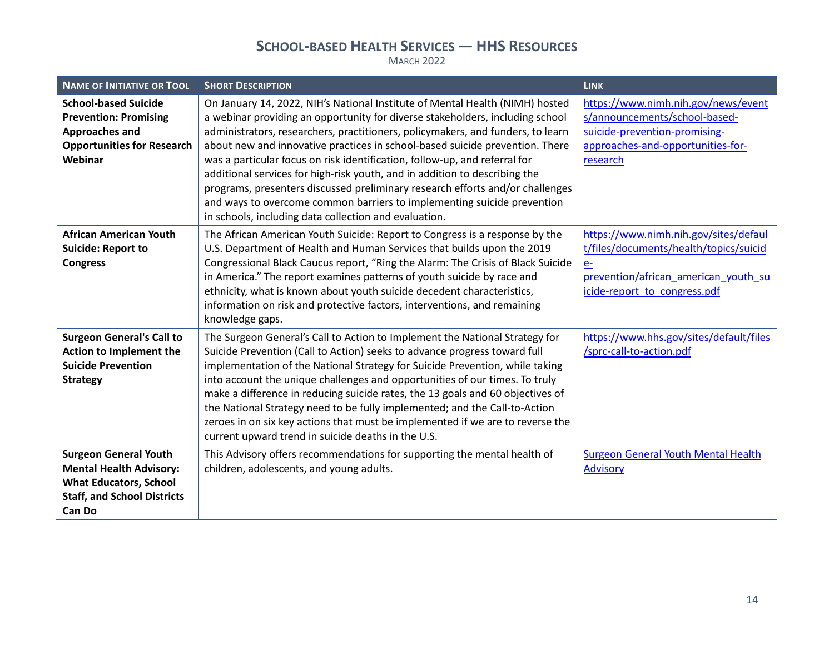| <b>NAME OF INITIATIVE OR TOOL</b>                                                                                                                      | <b>SHORT DESCRIPTION</b>                                                                                                                                                                                                                                                                                                                                                                                                                                                                                                                                                                                                                                                                                          | <b>LINK</b>                                                                                                                                                     |
|--------------------------------------------------------------------------------------------------------------------------------------------------------|-------------------------------------------------------------------------------------------------------------------------------------------------------------------------------------------------------------------------------------------------------------------------------------------------------------------------------------------------------------------------------------------------------------------------------------------------------------------------------------------------------------------------------------------------------------------------------------------------------------------------------------------------------------------------------------------------------------------|-----------------------------------------------------------------------------------------------------------------------------------------------------------------|
| <b>School-based Suicide</b><br><b>Prevention: Promising</b><br>Approaches and<br><b>Opportunities for Research</b><br>Webinar                          | On January 14, 2022, NIH's National Institute of Mental Health (NIMH) hosted<br>a webinar providing an opportunity for diverse stakeholders, including school<br>administrators, researchers, practitioners, policymakers, and funders, to learn<br>about new and innovative practices in school-based suicide prevention. There<br>was a particular focus on risk identification, follow-up, and referral for<br>additional services for high-risk youth, and in addition to describing the<br>programs, presenters discussed preliminary research efforts and/or challenges<br>and ways to overcome common barriers to implementing suicide prevention<br>in schools, including data collection and evaluation. | https://www.nimh.nih.gov/news/event<br>s/announcements/school-based-<br>suicide-prevention-promising-<br>approaches-and-opportunities-for-<br>research          |
| <b>African American Youth</b><br><b>Suicide: Report to</b><br><b>Congress</b>                                                                          | The African American Youth Suicide: Report to Congress is a response by the<br>U.S. Department of Health and Human Services that builds upon the 2019<br>Congressional Black Caucus report, "Ring the Alarm: The Crisis of Black Suicide<br>in America." The report examines patterns of youth suicide by race and<br>ethnicity, what is known about youth suicide decedent characteristics,<br>information on risk and protective factors, interventions, and remaining<br>knowledge gaps.                                                                                                                                                                                                                       | https://www.nimh.nih.gov/sites/defaul<br>t/files/documents/health/topics/suicid<br>$e-$<br>prevention/african american youth su<br>icide-report to congress.pdf |
| <b>Surgeon General's Call to</b><br>Action to Implement the<br><b>Suicide Prevention</b><br><b>Strategy</b>                                            | The Surgeon General's Call to Action to Implement the National Strategy for<br>Suicide Prevention (Call to Action) seeks to advance progress toward full<br>implementation of the National Strategy for Suicide Prevention, while taking<br>into account the unique challenges and opportunities of our times. To truly<br>make a difference in reducing suicide rates, the 13 goals and 60 objectives of<br>the National Strategy need to be fully implemented; and the Call-to-Action<br>zeroes in on six key actions that must be implemented if we are to reverse the<br>current upward trend in suicide deaths in the U.S.                                                                                   | https://www.hhs.gov/sites/default/files<br>/sprc-call-to-action.pdf                                                                                             |
| <b>Surgeon General Youth</b><br><b>Mental Health Advisory:</b><br><b>What Educators, School</b><br><b>Staff, and School Districts</b><br><b>Can Do</b> | This Advisory offers recommendations for supporting the mental health of<br>children, adolescents, and young adults.                                                                                                                                                                                                                                                                                                                                                                                                                                                                                                                                                                                              | <b>Surgeon General Youth Mental Health</b><br><b>Advisory</b>                                                                                                   |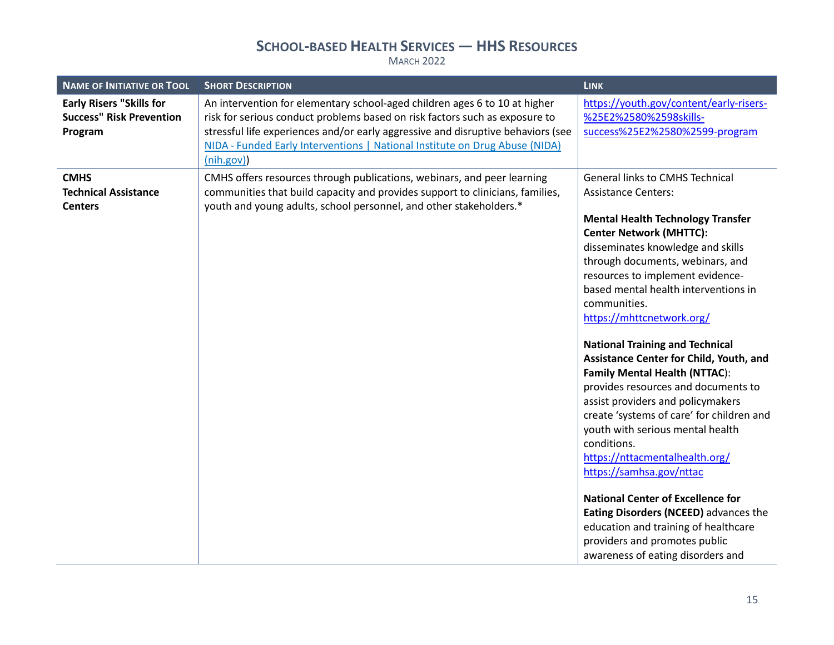| <b>NAME OF INITIATIVE OR TOOL</b>                                             | <b>SHORT DESCRIPTION</b>                                                                                                                                                                                                                                                                                                                  | <b>LINK</b>                                                                                                                                                                                                                                                                                                                                                                                                                                                                                                                                                                                                                                                                                                                                                                                                                                                                                                                    |
|-------------------------------------------------------------------------------|-------------------------------------------------------------------------------------------------------------------------------------------------------------------------------------------------------------------------------------------------------------------------------------------------------------------------------------------|--------------------------------------------------------------------------------------------------------------------------------------------------------------------------------------------------------------------------------------------------------------------------------------------------------------------------------------------------------------------------------------------------------------------------------------------------------------------------------------------------------------------------------------------------------------------------------------------------------------------------------------------------------------------------------------------------------------------------------------------------------------------------------------------------------------------------------------------------------------------------------------------------------------------------------|
| <b>Early Risers "Skills for</b><br><b>Success" Risk Prevention</b><br>Program | An intervention for elementary school-aged children ages 6 to 10 at higher<br>risk for serious conduct problems based on risk factors such as exposure to<br>stressful life experiences and/or early aggressive and disruptive behaviors (see<br>NIDA - Funded Early Interventions   National Institute on Drug Abuse (NIDA)<br>(nih.gov) | https://youth.gov/content/early-risers-<br>%25E2%2580%2598skills-<br>success%25E2%2580%2599-program                                                                                                                                                                                                                                                                                                                                                                                                                                                                                                                                                                                                                                                                                                                                                                                                                            |
| <b>CMHS</b><br><b>Technical Assistance</b><br><b>Centers</b>                  | CMHS offers resources through publications, webinars, and peer learning<br>communities that build capacity and provides support to clinicians, families,<br>youth and young adults, school personnel, and other stakeholders.*                                                                                                            | <b>General links to CMHS Technical</b><br><b>Assistance Centers:</b><br><b>Mental Health Technology Transfer</b><br><b>Center Network (MHTTC):</b><br>disseminates knowledge and skills<br>through documents, webinars, and<br>resources to implement evidence-<br>based mental health interventions in<br>communities.<br>https://mhttcnetwork.org/<br><b>National Training and Technical</b><br>Assistance Center for Child, Youth, and<br><b>Family Mental Health (NTTAC):</b><br>provides resources and documents to<br>assist providers and policymakers<br>create 'systems of care' for children and<br>youth with serious mental health<br>conditions.<br>https://nttacmentalhealth.org/<br>https://samhsa.gov/nttac<br><b>National Center of Excellence for</b><br>Eating Disorders (NCEED) advances the<br>education and training of healthcare<br>providers and promotes public<br>awareness of eating disorders and |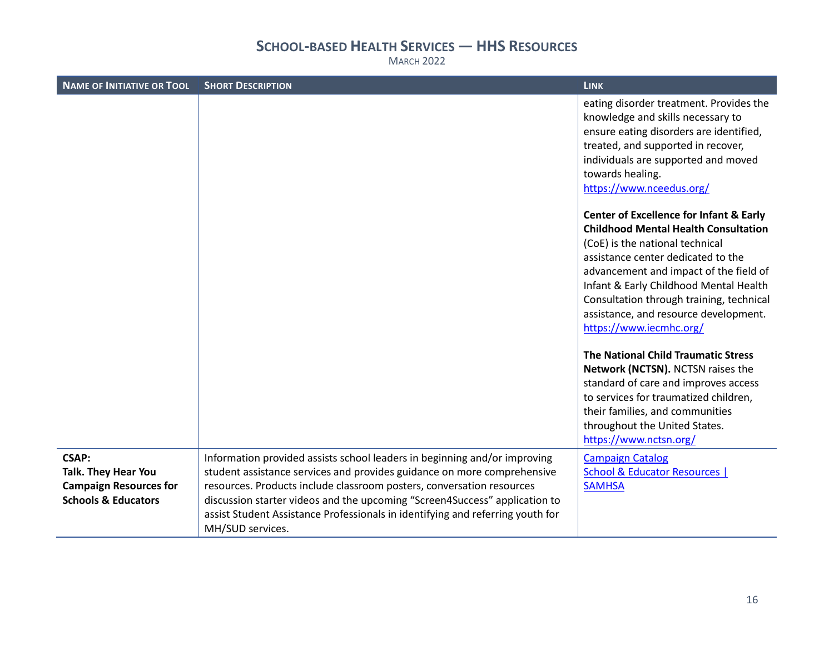| <b>NAME OF INITIATIVE OR TOOL</b>                                                                      | <b>SHORT DESCRIPTION</b>                                                                                                                                                                                                                                                                                                                                                                                          | <b>LINK</b>                                                                                                                                                                                                                                                                                                                                                                    |
|--------------------------------------------------------------------------------------------------------|-------------------------------------------------------------------------------------------------------------------------------------------------------------------------------------------------------------------------------------------------------------------------------------------------------------------------------------------------------------------------------------------------------------------|--------------------------------------------------------------------------------------------------------------------------------------------------------------------------------------------------------------------------------------------------------------------------------------------------------------------------------------------------------------------------------|
|                                                                                                        |                                                                                                                                                                                                                                                                                                                                                                                                                   | eating disorder treatment. Provides the<br>knowledge and skills necessary to<br>ensure eating disorders are identified,<br>treated, and supported in recover,<br>individuals are supported and moved<br>towards healing.<br>https://www.nceedus.org/                                                                                                                           |
|                                                                                                        |                                                                                                                                                                                                                                                                                                                                                                                                                   | <b>Center of Excellence for Infant &amp; Early</b><br><b>Childhood Mental Health Consultation</b><br>(CoE) is the national technical<br>assistance center dedicated to the<br>advancement and impact of the field of<br>Infant & Early Childhood Mental Health<br>Consultation through training, technical<br>assistance, and resource development.<br>https://www.iecmhc.org/ |
|                                                                                                        |                                                                                                                                                                                                                                                                                                                                                                                                                   | The National Child Traumatic Stress<br>Network (NCTSN). NCTSN raises the<br>standard of care and improves access<br>to services for traumatized children,<br>their families, and communities<br>throughout the United States.<br>https://www.nctsn.org/                                                                                                                        |
| <b>CSAP:</b><br>Talk. They Hear You<br><b>Campaign Resources for</b><br><b>Schools &amp; Educators</b> | Information provided assists school leaders in beginning and/or improving<br>student assistance services and provides guidance on more comprehensive<br>resources. Products include classroom posters, conversation resources<br>discussion starter videos and the upcoming "Screen4Success" application to<br>assist Student Assistance Professionals in identifying and referring youth for<br>MH/SUD services. | <b>Campaign Catalog</b><br>School & Educator Resources  <br><b>SAMHSA</b>                                                                                                                                                                                                                                                                                                      |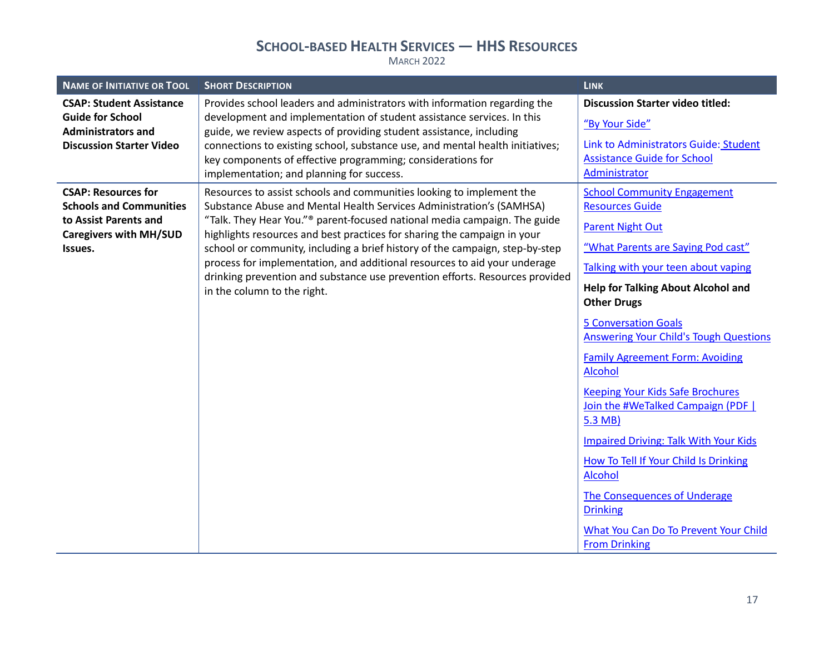| <b>NAME OF INITIATIVE OR TOOL</b>                                                                                                 | <b>SHORT DESCRIPTION</b>                                                                                                                                                                                                                                                                                                                                                                                                                                                                                                                                                                      | <b>LINK</b>                                                                                                                                                                                                                                                                                                                                                                                                                                                                                                                                                                                                                                                                                             |
|-----------------------------------------------------------------------------------------------------------------------------------|-----------------------------------------------------------------------------------------------------------------------------------------------------------------------------------------------------------------------------------------------------------------------------------------------------------------------------------------------------------------------------------------------------------------------------------------------------------------------------------------------------------------------------------------------------------------------------------------------|---------------------------------------------------------------------------------------------------------------------------------------------------------------------------------------------------------------------------------------------------------------------------------------------------------------------------------------------------------------------------------------------------------------------------------------------------------------------------------------------------------------------------------------------------------------------------------------------------------------------------------------------------------------------------------------------------------|
| <b>CSAP: Student Assistance</b><br><b>Guide for School</b><br><b>Administrators and</b><br><b>Discussion Starter Video</b>        | Provides school leaders and administrators with information regarding the<br>development and implementation of student assistance services. In this<br>guide, we review aspects of providing student assistance, including<br>connections to existing school, substance use, and mental health initiatives;<br>key components of effective programming; considerations for<br>implementation; and planning for success.                                                                                                                                                                       | <b>Discussion Starter video titled:</b><br>"By Your Side"<br>Link to Administrators Guide: Student<br><b>Assistance Guide for School</b><br>Administrator                                                                                                                                                                                                                                                                                                                                                                                                                                                                                                                                               |
| <b>CSAP: Resources for</b><br><b>Schools and Communities</b><br>to Assist Parents and<br><b>Caregivers with MH/SUD</b><br>Issues. | Resources to assist schools and communities looking to implement the<br>Substance Abuse and Mental Health Services Administration's (SAMHSA)<br>"Talk. They Hear You." <sup>®</sup> parent-focused national media campaign. The guide<br>highlights resources and best practices for sharing the campaign in your<br>school or community, including a brief history of the campaign, step-by-step<br>process for implementation, and additional resources to aid your underage<br>drinking prevention and substance use prevention efforts. Resources provided<br>in the column to the right. | <b>School Community Engagement</b><br><b>Resources Guide</b><br><b>Parent Night Out</b><br>"What Parents are Saying Pod cast"<br>Talking with your teen about vaping<br><b>Help for Talking About Alcohol and</b><br><b>Other Drugs</b><br><b>5 Conversation Goals</b><br><b>Answering Your Child's Tough Questions</b><br><b>Family Agreement Form: Avoiding</b><br><b>Alcohol</b><br><b>Keeping Your Kids Safe Brochures</b><br>Join the #WeTalked Campaign (PDF  <br>5.3 MB)<br><b>Impaired Driving: Talk With Your Kids</b><br>How To Tell If Your Child Is Drinking<br>Alcohol<br>The Consequences of Underage<br><b>Drinking</b><br>What You Can Do To Prevent Your Child<br><b>From Drinking</b> |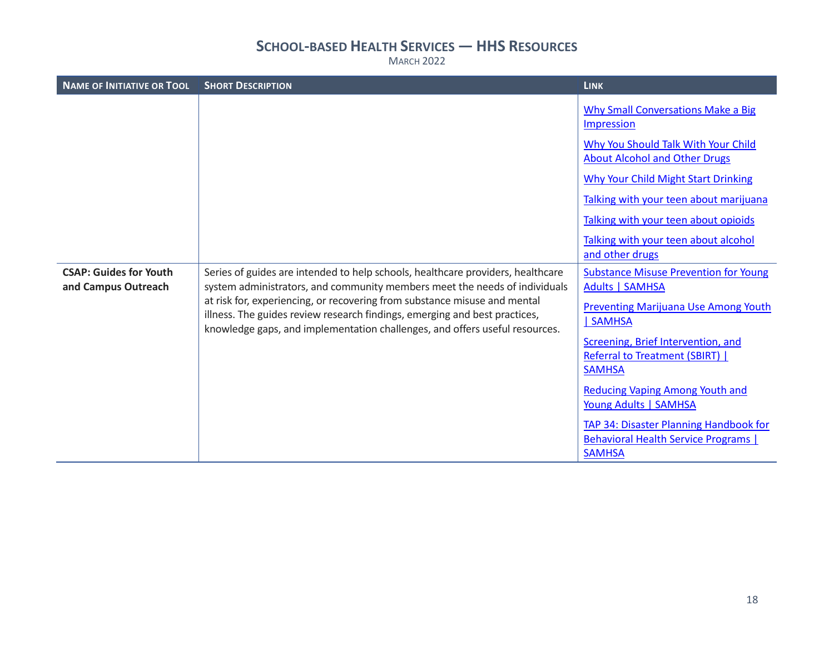| <b>NAME OF INITIATIVE OR TOOL</b>                    | <b>SHORT DESCRIPTION</b>                                                                                                                                                                                                               | <b>LINK</b>                                                                                          |
|------------------------------------------------------|----------------------------------------------------------------------------------------------------------------------------------------------------------------------------------------------------------------------------------------|------------------------------------------------------------------------------------------------------|
|                                                      |                                                                                                                                                                                                                                        | Why Small Conversations Make a Big<br>Impression                                                     |
|                                                      |                                                                                                                                                                                                                                        | Why You Should Talk With Your Child<br><b>About Alcohol and Other Drugs</b>                          |
|                                                      |                                                                                                                                                                                                                                        | <b>Why Your Child Might Start Drinking</b>                                                           |
|                                                      |                                                                                                                                                                                                                                        | Talking with your teen about marijuana                                                               |
|                                                      |                                                                                                                                                                                                                                        | Talking with your teen about opioids                                                                 |
|                                                      |                                                                                                                                                                                                                                        | Talking with your teen about alcohol<br>and other drugs                                              |
| <b>CSAP: Guides for Youth</b><br>and Campus Outreach | Series of guides are intended to help schools, healthcare providers, healthcare<br>system administrators, and community members meet the needs of individuals                                                                          | <b>Substance Misuse Prevention for Young</b><br>Adults   SAMHSA                                      |
|                                                      | at risk for, experiencing, or recovering from substance misuse and mental<br>illness. The guides review research findings, emerging and best practices,<br>knowledge gaps, and implementation challenges, and offers useful resources. | <b>Preventing Marijuana Use Among Youth</b><br><b>SAMHSA</b>                                         |
|                                                      |                                                                                                                                                                                                                                        | Screening, Brief Intervention, and<br>Referral to Treatment (SBIRT)  <br><b>SAMHSA</b>               |
|                                                      |                                                                                                                                                                                                                                        | <b>Reducing Vaping Among Youth and</b><br>Young Adults   SAMHSA                                      |
|                                                      |                                                                                                                                                                                                                                        | TAP 34: Disaster Planning Handbook for<br><b>Behavioral Health Service Programs</b><br><b>SAMHSA</b> |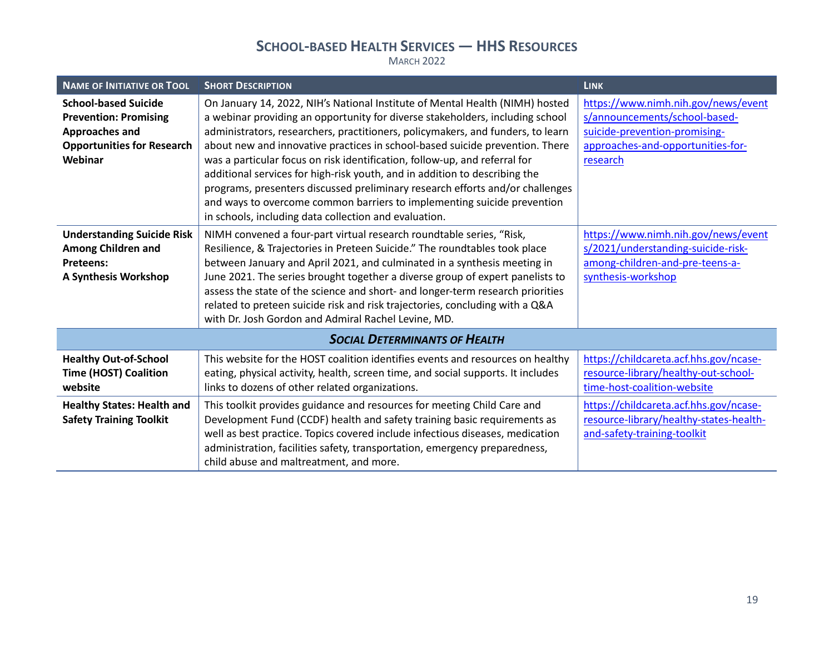| <b>NAME OF INITIATIVE OR TOOL</b>                                                                                             | <b>SHORT DESCRIPTION</b>                                                                                                                                                                                                                                                                                                                                                                                                                                                                                                                                                                                                                                                                                          | <b>LINK</b>                                                                                                                                            |
|-------------------------------------------------------------------------------------------------------------------------------|-------------------------------------------------------------------------------------------------------------------------------------------------------------------------------------------------------------------------------------------------------------------------------------------------------------------------------------------------------------------------------------------------------------------------------------------------------------------------------------------------------------------------------------------------------------------------------------------------------------------------------------------------------------------------------------------------------------------|--------------------------------------------------------------------------------------------------------------------------------------------------------|
| <b>School-based Suicide</b><br><b>Prevention: Promising</b><br>Approaches and<br><b>Opportunities for Research</b><br>Webinar | On January 14, 2022, NIH's National Institute of Mental Health (NIMH) hosted<br>a webinar providing an opportunity for diverse stakeholders, including school<br>administrators, researchers, practitioners, policymakers, and funders, to learn<br>about new and innovative practices in school-based suicide prevention. There<br>was a particular focus on risk identification, follow-up, and referral for<br>additional services for high-risk youth, and in addition to describing the<br>programs, presenters discussed preliminary research efforts and/or challenges<br>and ways to overcome common barriers to implementing suicide prevention<br>in schools, including data collection and evaluation. | https://www.nimh.nih.gov/news/event<br>s/announcements/school-based-<br>suicide-prevention-promising-<br>approaches-and-opportunities-for-<br>research |
| <b>Understanding Suicide Risk</b><br><b>Among Children and</b><br><b>Preteens:</b><br><b>A Synthesis Workshop</b>             | NIMH convened a four-part virtual research roundtable series, "Risk,<br>Resilience, & Trajectories in Preteen Suicide." The roundtables took place<br>between January and April 2021, and culminated in a synthesis meeting in<br>June 2021. The series brought together a diverse group of expert panelists to<br>assess the state of the science and short- and longer-term research priorities<br>related to preteen suicide risk and risk trajectories, concluding with a Q&A<br>with Dr. Josh Gordon and Admiral Rachel Levine, MD.                                                                                                                                                                          | https://www.nimh.nih.gov/news/event<br>s/2021/understanding-suicide-risk-<br>among-children-and-pre-teens-a-<br>synthesis-workshop                     |
|                                                                                                                               | <b>SOCIAL DETERMINANTS OF HEALTH</b>                                                                                                                                                                                                                                                                                                                                                                                                                                                                                                                                                                                                                                                                              |                                                                                                                                                        |
| <b>Healthy Out-of-School</b><br><b>Time (HOST) Coalition</b><br>website                                                       | This website for the HOST coalition identifies events and resources on healthy<br>eating, physical activity, health, screen time, and social supports. It includes<br>links to dozens of other related organizations.                                                                                                                                                                                                                                                                                                                                                                                                                                                                                             | https://childcareta.acf.hhs.gov/ncase-<br>resource-library/healthy-out-school-<br>time-host-coalition-website                                          |
| <b>Healthy States: Health and</b><br><b>Safety Training Toolkit</b>                                                           | This toolkit provides guidance and resources for meeting Child Care and<br>Development Fund (CCDF) health and safety training basic requirements as<br>well as best practice. Topics covered include infectious diseases, medication<br>administration, facilities safety, transportation, emergency preparedness,<br>child abuse and maltreatment, and more.                                                                                                                                                                                                                                                                                                                                                     | https://childcareta.acf.hhs.gov/ncase-<br>resource-library/healthy-states-health-<br>and-safety-training-toolkit                                       |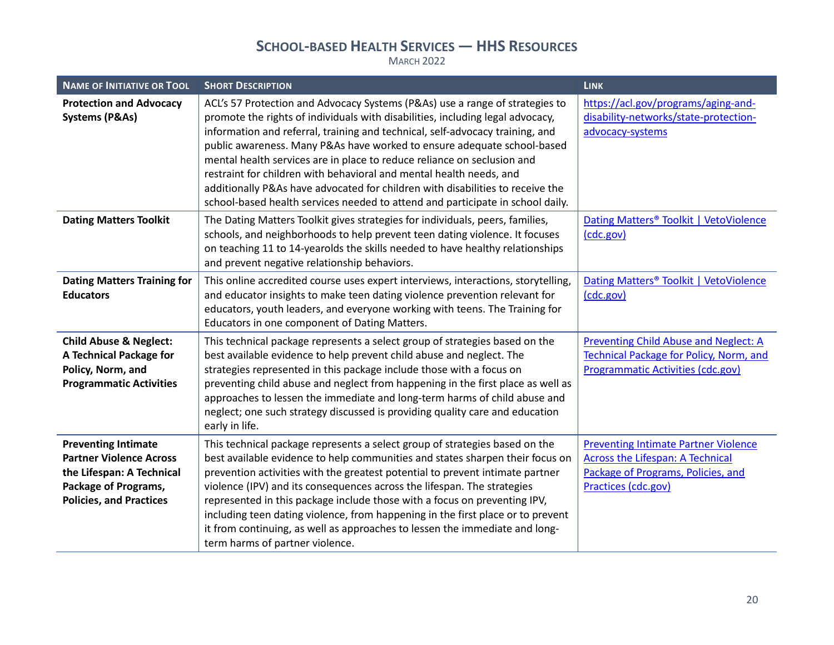| <b>NAME OF INITIATIVE OR TOOL</b>                                                                                                                   | <b>SHORT DESCRIPTION</b>                                                                                                                                                                                                                                                                                                                                                                                                                                                                                                                                                                                                                         | <b>LINK</b>                                                                                                                                         |
|-----------------------------------------------------------------------------------------------------------------------------------------------------|--------------------------------------------------------------------------------------------------------------------------------------------------------------------------------------------------------------------------------------------------------------------------------------------------------------------------------------------------------------------------------------------------------------------------------------------------------------------------------------------------------------------------------------------------------------------------------------------------------------------------------------------------|-----------------------------------------------------------------------------------------------------------------------------------------------------|
| <b>Protection and Advocacy</b><br><b>Systems (P&amp;As)</b>                                                                                         | ACL's 57 Protection and Advocacy Systems (P&As) use a range of strategies to<br>promote the rights of individuals with disabilities, including legal advocacy,<br>information and referral, training and technical, self-advocacy training, and<br>public awareness. Many P&As have worked to ensure adequate school-based<br>mental health services are in place to reduce reliance on seclusion and<br>restraint for children with behavioral and mental health needs, and<br>additionally P&As have advocated for children with disabilities to receive the<br>school-based health services needed to attend and participate in school daily. | https://acl.gov/programs/aging-and-<br>disability-networks/state-protection-<br>advocacy-systems                                                    |
| <b>Dating Matters Toolkit</b>                                                                                                                       | The Dating Matters Toolkit gives strategies for individuals, peers, families,<br>schools, and neighborhoods to help prevent teen dating violence. It focuses<br>on teaching 11 to 14-yearolds the skills needed to have healthy relationships<br>and prevent negative relationship behaviors.                                                                                                                                                                                                                                                                                                                                                    | Dating Matters <sup>®</sup> Toolkit   VetoViolence<br>(cdc.gov)                                                                                     |
| <b>Dating Matters Training for</b><br><b>Educators</b>                                                                                              | This online accredited course uses expert interviews, interactions, storytelling,<br>and educator insights to make teen dating violence prevention relevant for<br>educators, youth leaders, and everyone working with teens. The Training for<br>Educators in one component of Dating Matters.                                                                                                                                                                                                                                                                                                                                                  | Dating Matters <sup>®</sup> Toolkit   VetoViolence<br>(cdc.gov)                                                                                     |
| <b>Child Abuse &amp; Neglect:</b><br>A Technical Package for<br>Policy, Norm, and<br><b>Programmatic Activities</b>                                 | This technical package represents a select group of strategies based on the<br>best available evidence to help prevent child abuse and neglect. The<br>strategies represented in this package include those with a focus on<br>preventing child abuse and neglect from happening in the first place as well as<br>approaches to lessen the immediate and long-term harms of child abuse and<br>neglect; one such strategy discussed is providing quality care and education<br>early in life.                                                                                                                                                    | <b>Preventing Child Abuse and Neglect: A</b><br>Technical Package for Policy, Norm, and<br>Programmatic Activities (cdc.gov)                        |
| <b>Preventing Intimate</b><br><b>Partner Violence Across</b><br>the Lifespan: A Technical<br>Package of Programs,<br><b>Policies, and Practices</b> | This technical package represents a select group of strategies based on the<br>best available evidence to help communities and states sharpen their focus on<br>prevention activities with the greatest potential to prevent intimate partner<br>violence (IPV) and its consequences across the lifespan. The strategies<br>represented in this package include those with a focus on preventing IPV,<br>including teen dating violence, from happening in the first place or to prevent<br>it from continuing, as well as approaches to lessen the immediate and long-<br>term harms of partner violence.                                       | <b>Preventing Intimate Partner Violence</b><br><b>Across the Lifespan: A Technical</b><br>Package of Programs, Policies, and<br>Practices (cdc.gov) |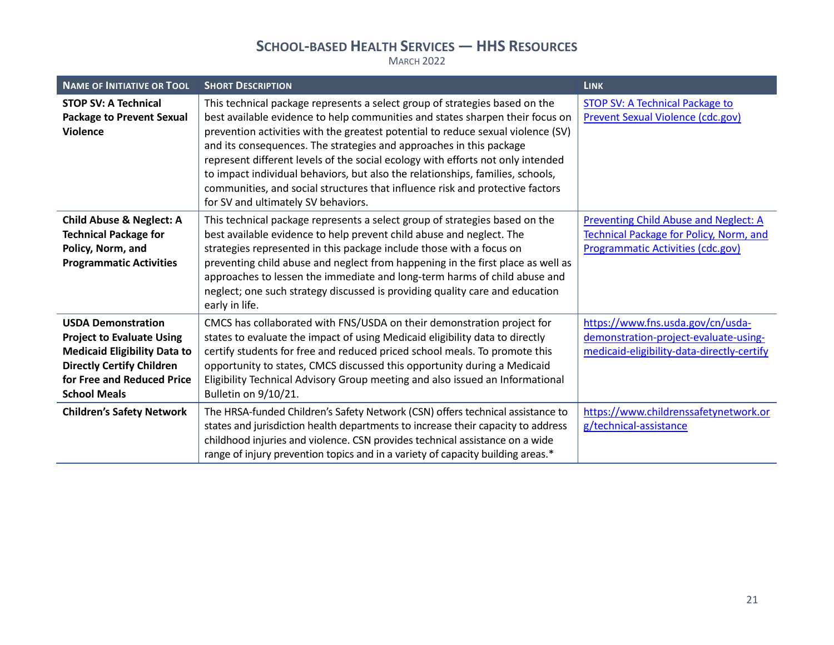| <b>NAME OF INITIATIVE OR TOOL</b>                                                                                                                                                                                                 | <b>SHORT DESCRIPTION</b>                                                                                                                                                                                                                                                                                                                                                                                                                                                                                                                                                                                             | <b>LINK</b>                                                                                                                                                       |
|-----------------------------------------------------------------------------------------------------------------------------------------------------------------------------------------------------------------------------------|----------------------------------------------------------------------------------------------------------------------------------------------------------------------------------------------------------------------------------------------------------------------------------------------------------------------------------------------------------------------------------------------------------------------------------------------------------------------------------------------------------------------------------------------------------------------------------------------------------------------|-------------------------------------------------------------------------------------------------------------------------------------------------------------------|
| <b>STOP SV: A Technical</b><br><b>Package to Prevent Sexual</b><br><b>Violence</b>                                                                                                                                                | This technical package represents a select group of strategies based on the<br>best available evidence to help communities and states sharpen their focus on<br>prevention activities with the greatest potential to reduce sexual violence (SV)<br>and its consequences. The strategies and approaches in this package<br>represent different levels of the social ecology with efforts not only intended<br>to impact individual behaviors, but also the relationships, families, schools,<br>communities, and social structures that influence risk and protective factors<br>for SV and ultimately SV behaviors. | <b>STOP SV: A Technical Package to</b><br><b>Prevent Sexual Violence (cdc.gov)</b>                                                                                |
| <b>Child Abuse &amp; Neglect: A</b><br><b>Technical Package for</b><br>Policy, Norm, and<br><b>Programmatic Activities</b>                                                                                                        | This technical package represents a select group of strategies based on the<br>best available evidence to help prevent child abuse and neglect. The<br>strategies represented in this package include those with a focus on<br>preventing child abuse and neglect from happening in the first place as well as<br>approaches to lessen the immediate and long-term harms of child abuse and<br>neglect; one such strategy discussed is providing quality care and education<br>early in life.                                                                                                                        | Preventing Child Abuse and Neglect: A<br><b>Technical Package for Policy, Norm, and</b><br>Programmatic Activities (cdc.gov)                                      |
| <b>USDA Demonstration</b><br><b>Project to Evaluate Using</b><br><b>Medicaid Eligibility Data to</b><br><b>Directly Certify Children</b><br>for Free and Reduced Price<br><b>School Meals</b><br><b>Children's Safety Network</b> | CMCS has collaborated with FNS/USDA on their demonstration project for<br>states to evaluate the impact of using Medicaid eligibility data to directly<br>certify students for free and reduced priced school meals. To promote this<br>opportunity to states, CMCS discussed this opportunity during a Medicaid<br>Eligibility Technical Advisory Group meeting and also issued an Informational<br>Bulletin on 9/10/21.<br>The HRSA-funded Children's Safety Network (CSN) offers technical assistance to                                                                                                          | https://www.fns.usda.gov/cn/usda-<br>demonstration-project-evaluate-using-<br>medicaid-eligibility-data-directly-certify<br>https://www.childrenssafetynetwork.or |
|                                                                                                                                                                                                                                   | states and jurisdiction health departments to increase their capacity to address<br>childhood injuries and violence. CSN provides technical assistance on a wide<br>range of injury prevention topics and in a variety of capacity building areas.*                                                                                                                                                                                                                                                                                                                                                                  | g/technical-assistance                                                                                                                                            |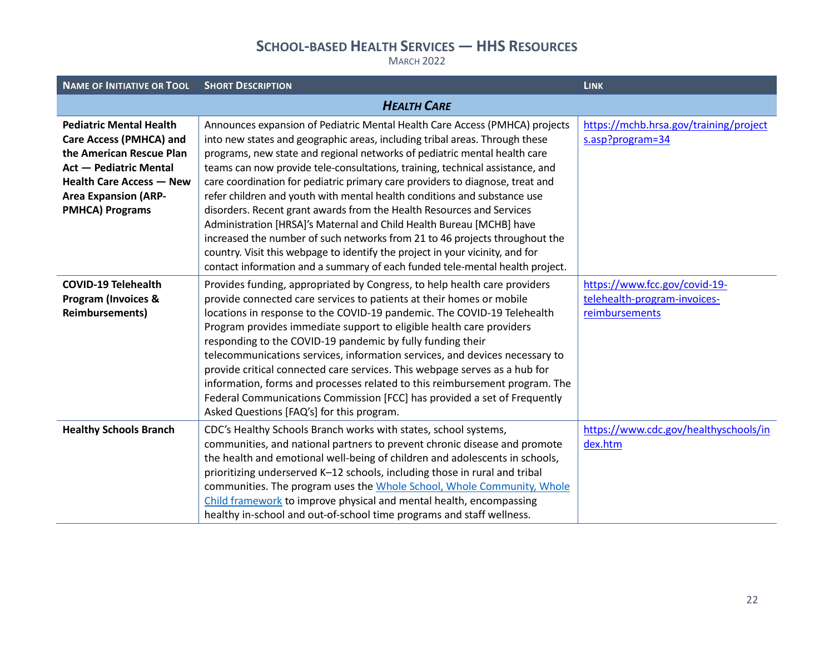| <b>NAME OF INITIATIVE OR TOOL</b>                                                                                                                                                                                         | <b>SHORT DESCRIPTION</b>                                                                                                                                                                                                                                                                                                                                                                                                                                                                                                                                                                                                                                                                                                                                                                                                                                                               | <b>LINK</b>                                                                     |
|---------------------------------------------------------------------------------------------------------------------------------------------------------------------------------------------------------------------------|----------------------------------------------------------------------------------------------------------------------------------------------------------------------------------------------------------------------------------------------------------------------------------------------------------------------------------------------------------------------------------------------------------------------------------------------------------------------------------------------------------------------------------------------------------------------------------------------------------------------------------------------------------------------------------------------------------------------------------------------------------------------------------------------------------------------------------------------------------------------------------------|---------------------------------------------------------------------------------|
|                                                                                                                                                                                                                           | <b>HEALTH CARE</b>                                                                                                                                                                                                                                                                                                                                                                                                                                                                                                                                                                                                                                                                                                                                                                                                                                                                     |                                                                                 |
| <b>Pediatric Mental Health</b><br><b>Care Access (PMHCA) and</b><br>the American Rescue Plan<br><b>Act - Pediatric Mental</b><br><b>Health Care Access - New</b><br><b>Area Expansion (ARP-</b><br><b>PMHCA) Programs</b> | Announces expansion of Pediatric Mental Health Care Access (PMHCA) projects<br>into new states and geographic areas, including tribal areas. Through these<br>programs, new state and regional networks of pediatric mental health care<br>teams can now provide tele-consultations, training, technical assistance, and<br>care coordination for pediatric primary care providers to diagnose, treat and<br>refer children and youth with mental health conditions and substance use<br>disorders. Recent grant awards from the Health Resources and Services<br>Administration [HRSA]'s Maternal and Child Health Bureau [MCHB] have<br>increased the number of such networks from 21 to 46 projects throughout the<br>country. Visit this webpage to identify the project in your vicinity, and for<br>contact information and a summary of each funded tele-mental health project. | https://mchb.hrsa.gov/training/project<br>s.asp?program=34                      |
| <b>COVID-19 Telehealth</b><br><b>Program (Invoices &amp;</b><br><b>Reimbursements)</b>                                                                                                                                    | Provides funding, appropriated by Congress, to help health care providers<br>provide connected care services to patients at their homes or mobile<br>locations in response to the COVID-19 pandemic. The COVID-19 Telehealth<br>Program provides immediate support to eligible health care providers<br>responding to the COVID-19 pandemic by fully funding their<br>telecommunications services, information services, and devices necessary to<br>provide critical connected care services. This webpage serves as a hub for<br>information, forms and processes related to this reimbursement program. The<br>Federal Communications Commission [FCC] has provided a set of Frequently<br>Asked Questions [FAQ's] for this program.                                                                                                                                                | https://www.fcc.gov/covid-19-<br>telehealth-program-invoices-<br>reimbursements |
| <b>Healthy Schools Branch</b>                                                                                                                                                                                             | CDC's Healthy Schools Branch works with states, school systems,<br>communities, and national partners to prevent chronic disease and promote<br>the health and emotional well-being of children and adolescents in schools,<br>prioritizing underserved K-12 schools, including those in rural and tribal<br>communities. The program uses the Whole School, Whole Community, Whole<br>Child framework to improve physical and mental health, encompassing<br>healthy in-school and out-of-school time programs and staff wellness.                                                                                                                                                                                                                                                                                                                                                    | https://www.cdc.gov/healthyschools/in<br>dex.htm                                |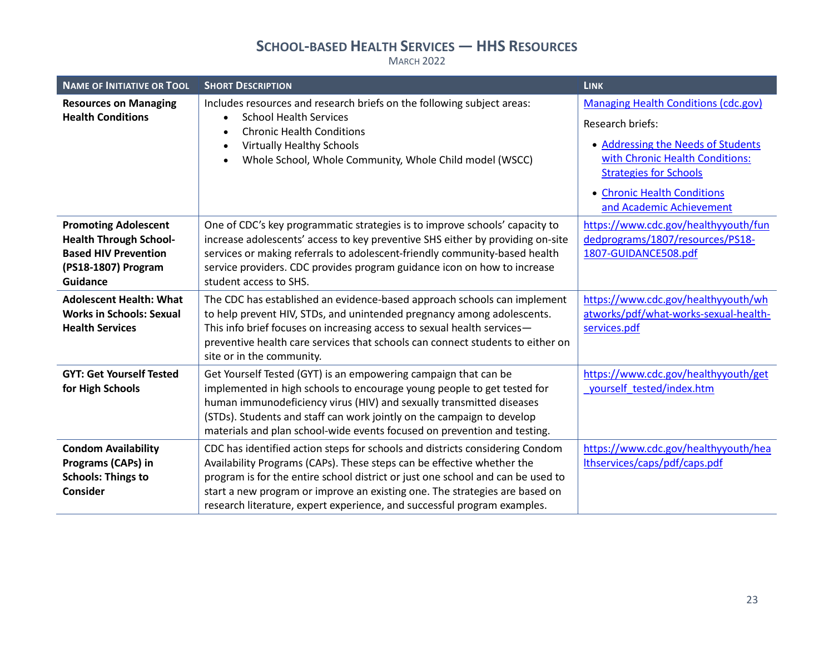| <b>NAME OF INITIATIVE OR TOOL</b>                                                                                                     | <b>SHORT DESCRIPTION</b>                                                                                                                                                                                                                                                                                                                                                                             | <b>LINK</b>                                                                                                                                                                                                                          |
|---------------------------------------------------------------------------------------------------------------------------------------|------------------------------------------------------------------------------------------------------------------------------------------------------------------------------------------------------------------------------------------------------------------------------------------------------------------------------------------------------------------------------------------------------|--------------------------------------------------------------------------------------------------------------------------------------------------------------------------------------------------------------------------------------|
| <b>Resources on Managing</b><br><b>Health Conditions</b>                                                                              | Includes resources and research briefs on the following subject areas:<br><b>School Health Services</b><br><b>Chronic Health Conditions</b><br><b>Virtually Healthy Schools</b><br>Whole School, Whole Community, Whole Child model (WSCC)                                                                                                                                                           | <b>Managing Health Conditions (cdc.gov)</b><br>Research briefs:<br>• Addressing the Needs of Students<br>with Chronic Health Conditions:<br><b>Strategies for Schools</b><br>• Chronic Health Conditions<br>and Academic Achievement |
| <b>Promoting Adolescent</b><br><b>Health Through School-</b><br><b>Based HIV Prevention</b><br>(PS18-1807) Program<br><b>Guidance</b> | One of CDC's key programmatic strategies is to improve schools' capacity to<br>increase adolescents' access to key preventive SHS either by providing on-site<br>services or making referrals to adolescent-friendly community-based health<br>service providers. CDC provides program guidance icon on how to increase<br>student access to SHS.                                                    | https://www.cdc.gov/healthyyouth/fun<br>dedprograms/1807/resources/PS18-<br>1807-GUIDANCE508.pdf                                                                                                                                     |
| <b>Adolescent Health: What</b><br><b>Works in Schools: Sexual</b><br><b>Health Services</b>                                           | The CDC has established an evidence-based approach schools can implement<br>to help prevent HIV, STDs, and unintended pregnancy among adolescents.<br>This info brief focuses on increasing access to sexual health services-<br>preventive health care services that schools can connect students to either on<br>site or in the community.                                                         | https://www.cdc.gov/healthyyouth/wh<br>atworks/pdf/what-works-sexual-health-<br>services.pdf                                                                                                                                         |
| <b>GYT: Get Yourself Tested</b><br>for High Schools                                                                                   | Get Yourself Tested (GYT) is an empowering campaign that can be<br>implemented in high schools to encourage young people to get tested for<br>human immunodeficiency virus (HIV) and sexually transmitted diseases<br>(STDs). Students and staff can work jointly on the campaign to develop<br>materials and plan school-wide events focused on prevention and testing.                             | https://www.cdc.gov/healthyyouth/get<br>yourself tested/index.htm                                                                                                                                                                    |
| <b>Condom Availability</b><br>Programs (CAPs) in<br><b>Schools: Things to</b><br><b>Consider</b>                                      | CDC has identified action steps for schools and districts considering Condom<br>Availability Programs (CAPs). These steps can be effective whether the<br>program is for the entire school district or just one school and can be used to<br>start a new program or improve an existing one. The strategies are based on<br>research literature, expert experience, and successful program examples. | https://www.cdc.gov/healthyyouth/hea<br>Ithservices/caps/pdf/caps.pdf                                                                                                                                                                |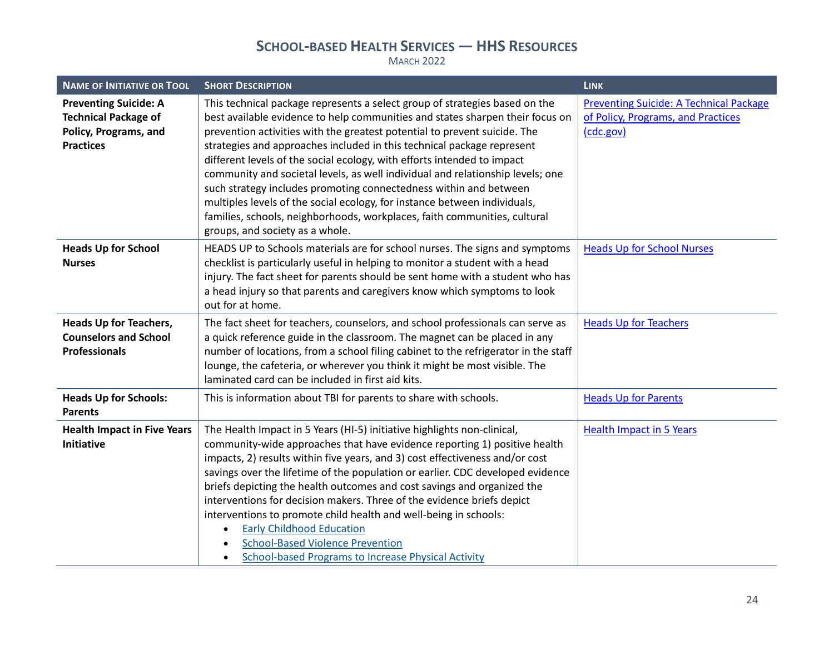| <b>NAME OF INITIATIVE OR TOOL</b>                                                                        | <b>SHORT DESCRIPTION</b>                                                                                                                                                                                                                                                                                                                                                                                                                                                                                                                                                                                                                                                                                                                           | <b>LINK</b>                                                                                       |
|----------------------------------------------------------------------------------------------------------|----------------------------------------------------------------------------------------------------------------------------------------------------------------------------------------------------------------------------------------------------------------------------------------------------------------------------------------------------------------------------------------------------------------------------------------------------------------------------------------------------------------------------------------------------------------------------------------------------------------------------------------------------------------------------------------------------------------------------------------------------|---------------------------------------------------------------------------------------------------|
| <b>Preventing Suicide: A</b><br><b>Technical Package of</b><br>Policy, Programs, and<br><b>Practices</b> | This technical package represents a select group of strategies based on the<br>best available evidence to help communities and states sharpen their focus on<br>prevention activities with the greatest potential to prevent suicide. The<br>strategies and approaches included in this technical package represent<br>different levels of the social ecology, with efforts intended to impact<br>community and societal levels, as well individual and relationship levels; one<br>such strategy includes promoting connectedness within and between<br>multiples levels of the social ecology, for instance between individuals,<br>families, schools, neighborhoods, workplaces, faith communities, cultural<br>groups, and society as a whole. | <b>Preventing Suicide: A Technical Package</b><br>of Policy, Programs, and Practices<br>(cdc.gov) |
| <b>Heads Up for School</b><br><b>Nurses</b>                                                              | HEADS UP to Schools materials are for school nurses. The signs and symptoms<br>checklist is particularly useful in helping to monitor a student with a head<br>injury. The fact sheet for parents should be sent home with a student who has<br>a head injury so that parents and caregivers know which symptoms to look<br>out for at home.                                                                                                                                                                                                                                                                                                                                                                                                       | <b>Heads Up for School Nurses</b>                                                                 |
| <b>Heads Up for Teachers,</b><br><b>Counselors and School</b><br><b>Professionals</b>                    | The fact sheet for teachers, counselors, and school professionals can serve as<br>a quick reference guide in the classroom. The magnet can be placed in any<br>number of locations, from a school filing cabinet to the refrigerator in the staff<br>lounge, the cafeteria, or wherever you think it might be most visible. The<br>laminated card can be included in first aid kits.                                                                                                                                                                                                                                                                                                                                                               | <b>Heads Up for Teachers</b>                                                                      |
| <b>Heads Up for Schools:</b><br><b>Parents</b>                                                           | This is information about TBI for parents to share with schools.                                                                                                                                                                                                                                                                                                                                                                                                                                                                                                                                                                                                                                                                                   | <b>Heads Up for Parents</b>                                                                       |
| <b>Health Impact in Five Years</b><br>Initiative                                                         | The Health Impact in 5 Years (HI-5) initiative highlights non-clinical,<br>community-wide approaches that have evidence reporting 1) positive health<br>impacts, 2) results within five years, and 3) cost effectiveness and/or cost<br>savings over the lifetime of the population or earlier. CDC developed evidence<br>briefs depicting the health outcomes and cost savings and organized the<br>interventions for decision makers. Three of the evidence briefs depict<br>interventions to promote child health and well-being in schools:<br><b>Early Childhood Education</b><br>$\bullet$<br><b>School-Based Violence Prevention</b><br><b>School-based Programs to Increase Physical Activity</b>                                          | <b>Health Impact in 5 Years</b>                                                                   |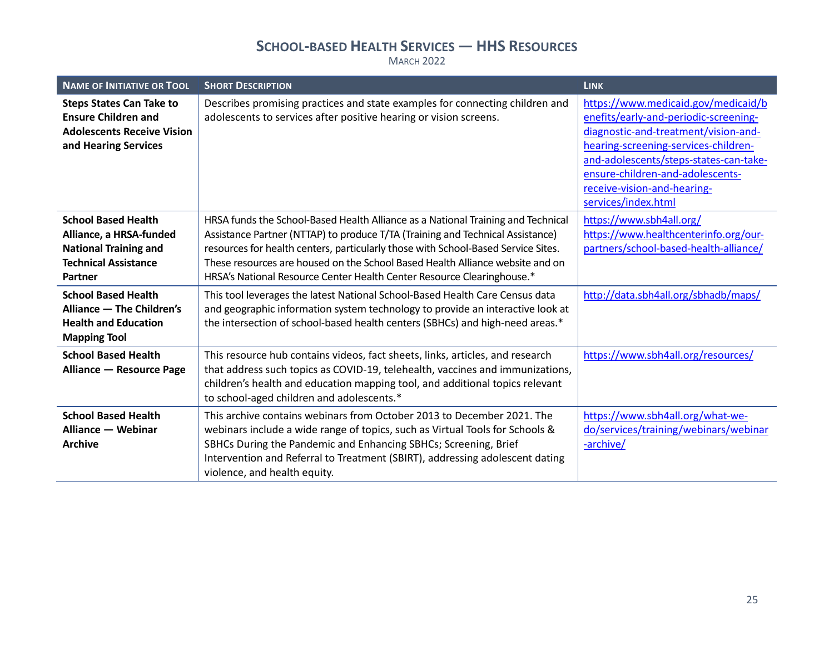| <b>NAME OF INITIATIVE OR TOOL</b>                                                                                                                                                                                                                       | <b>SHORT DESCRIPTION</b>                                                                                                                                                                                                                                                                                                                                                                                                                                                                                                                                                                                                                                              | <b>LINK</b>                                                                                                                                                                                                                                                                                      |
|---------------------------------------------------------------------------------------------------------------------------------------------------------------------------------------------------------------------------------------------------------|-----------------------------------------------------------------------------------------------------------------------------------------------------------------------------------------------------------------------------------------------------------------------------------------------------------------------------------------------------------------------------------------------------------------------------------------------------------------------------------------------------------------------------------------------------------------------------------------------------------------------------------------------------------------------|--------------------------------------------------------------------------------------------------------------------------------------------------------------------------------------------------------------------------------------------------------------------------------------------------|
| <b>Steps States Can Take to</b><br><b>Ensure Children and</b><br><b>Adolescents Receive Vision</b><br>and Hearing Services                                                                                                                              | Describes promising practices and state examples for connecting children and<br>adolescents to services after positive hearing or vision screens.                                                                                                                                                                                                                                                                                                                                                                                                                                                                                                                     | https://www.medicaid.gov/medicaid/b<br>enefits/early-and-periodic-screening-<br>diagnostic-and-treatment/vision-and-<br>hearing-screening-services-children-<br>and-adolescents/steps-states-can-take-<br>ensure-children-and-adolescents-<br>receive-vision-and-hearing-<br>services/index.html |
| <b>School Based Health</b><br>Alliance, a HRSA-funded<br><b>National Training and</b><br><b>Technical Assistance</b><br><b>Partner</b><br><b>School Based Health</b><br>Alliance - The Children's<br><b>Health and Education</b><br><b>Mapping Tool</b> | HRSA funds the School-Based Health Alliance as a National Training and Technical<br>Assistance Partner (NTTAP) to produce T/TA (Training and Technical Assistance)<br>resources for health centers, particularly those with School-Based Service Sites.<br>These resources are housed on the School Based Health Alliance website and on<br>HRSA's National Resource Center Health Center Resource Clearinghouse.*<br>This tool leverages the latest National School-Based Health Care Census data<br>and geographic information system technology to provide an interactive look at<br>the intersection of school-based health centers (SBHCs) and high-need areas.* | https://www.sbh4all.org/<br>https://www.healthcenterinfo.org/our-<br>partners/school-based-health-alliance/<br>http://data.sbh4all.org/sbhadb/maps/                                                                                                                                              |
| <b>School Based Health</b><br>Alliance - Resource Page                                                                                                                                                                                                  | This resource hub contains videos, fact sheets, links, articles, and research<br>that address such topics as COVID-19, telehealth, vaccines and immunizations,<br>children's health and education mapping tool, and additional topics relevant<br>to school-aged children and adolescents.*                                                                                                                                                                                                                                                                                                                                                                           | https://www.sbh4all.org/resources/                                                                                                                                                                                                                                                               |
| <b>School Based Health</b><br>Alliance - Webinar<br><b>Archive</b>                                                                                                                                                                                      | This archive contains webinars from October 2013 to December 2021. The<br>webinars include a wide range of topics, such as Virtual Tools for Schools &<br>SBHCs During the Pandemic and Enhancing SBHCs; Screening, Brief<br>Intervention and Referral to Treatment (SBIRT), addressing adolescent dating<br>violence, and health equity.                                                                                                                                                                                                                                                                                                                             | https://www.sbh4all.org/what-we-<br>do/services/training/webinars/webinar<br>-archive/                                                                                                                                                                                                           |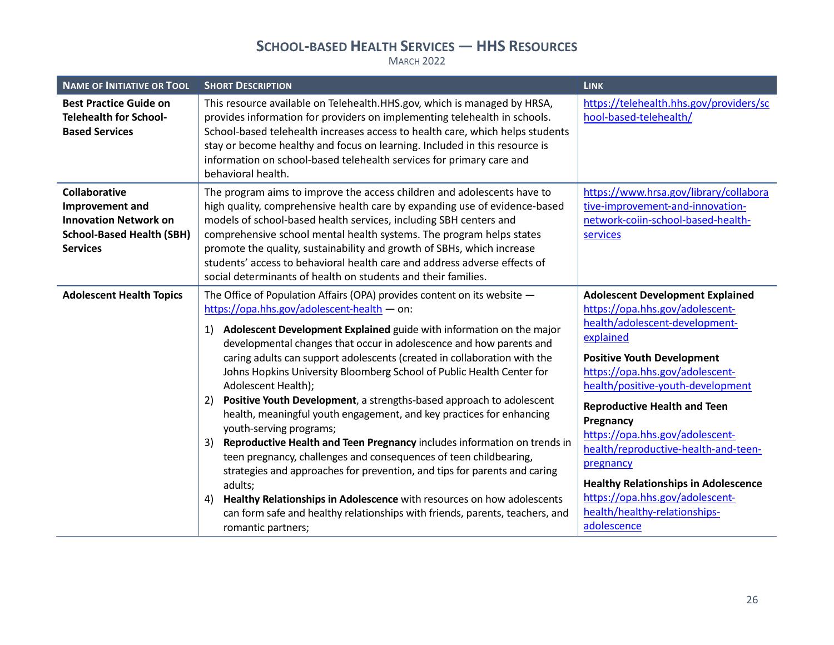| <b>NAME OF INITIATIVE OR TOOL</b>                                                                                              | <b>SHORT DESCRIPTION</b>                                                                                                                                                                                                                                                                                                                                                                                                                                                                                                                                                                                                                                                                                                                                                                                                                                                                                                                                                                                                                                                      | <b>LINK</b>                                                                                                                                                                                                                                                                                                                                                                                                                                                                                                          |
|--------------------------------------------------------------------------------------------------------------------------------|-------------------------------------------------------------------------------------------------------------------------------------------------------------------------------------------------------------------------------------------------------------------------------------------------------------------------------------------------------------------------------------------------------------------------------------------------------------------------------------------------------------------------------------------------------------------------------------------------------------------------------------------------------------------------------------------------------------------------------------------------------------------------------------------------------------------------------------------------------------------------------------------------------------------------------------------------------------------------------------------------------------------------------------------------------------------------------|----------------------------------------------------------------------------------------------------------------------------------------------------------------------------------------------------------------------------------------------------------------------------------------------------------------------------------------------------------------------------------------------------------------------------------------------------------------------------------------------------------------------|
| <b>Best Practice Guide on</b><br><b>Telehealth for School-</b><br><b>Based Services</b>                                        | This resource available on Telehealth.HHS.gov, which is managed by HRSA,<br>provides information for providers on implementing telehealth in schools.<br>School-based telehealth increases access to health care, which helps students<br>stay or become healthy and focus on learning. Included in this resource is<br>information on school-based telehealth services for primary care and<br>behavioral health.                                                                                                                                                                                                                                                                                                                                                                                                                                                                                                                                                                                                                                                            | https://telehealth.hhs.gov/providers/sc<br>hool-based-telehealth/                                                                                                                                                                                                                                                                                                                                                                                                                                                    |
| <b>Collaborative</b><br>Improvement and<br><b>Innovation Network on</b><br><b>School-Based Health (SBH)</b><br><b>Services</b> | The program aims to improve the access children and adolescents have to<br>high quality, comprehensive health care by expanding use of evidence-based<br>models of school-based health services, including SBH centers and<br>comprehensive school mental health systems. The program helps states<br>promote the quality, sustainability and growth of SBHs, which increase<br>students' access to behavioral health care and address adverse effects of<br>social determinants of health on students and their families.                                                                                                                                                                                                                                                                                                                                                                                                                                                                                                                                                    | https://www.hrsa.gov/library/collabora<br>tive-improvement-and-innovation-<br>network-coiin-school-based-health-<br>services                                                                                                                                                                                                                                                                                                                                                                                         |
| <b>Adolescent Health Topics</b>                                                                                                | The Office of Population Affairs (OPA) provides content on its website $-$<br>https://opa.hhs.gov/adolescent-health - on:<br>Adolescent Development Explained guide with information on the major<br>1)<br>developmental changes that occur in adolescence and how parents and<br>caring adults can support adolescents (created in collaboration with the<br>Johns Hopkins University Bloomberg School of Public Health Center for<br>Adolescent Health);<br>2) Positive Youth Development, a strengths-based approach to adolescent<br>health, meaningful youth engagement, and key practices for enhancing<br>youth-serving programs;<br>Reproductive Health and Teen Pregnancy includes information on trends in<br>3)<br>teen pregnancy, challenges and consequences of teen childbearing,<br>strategies and approaches for prevention, and tips for parents and caring<br>adults;<br>Healthy Relationships in Adolescence with resources on how adolescents<br>4)<br>can form safe and healthy relationships with friends, parents, teachers, and<br>romantic partners; | <b>Adolescent Development Explained</b><br>https://opa.hhs.gov/adolescent-<br>health/adolescent-development-<br>explained<br><b>Positive Youth Development</b><br>https://opa.hhs.gov/adolescent-<br>health/positive-youth-development<br><b>Reproductive Health and Teen</b><br>Pregnancy<br>https://opa.hhs.gov/adolescent-<br>health/reproductive-health-and-teen-<br>pregnancy<br><b>Healthy Relationships in Adolescence</b><br>https://opa.hhs.gov/adolescent-<br>health/healthy-relationships-<br>adolescence |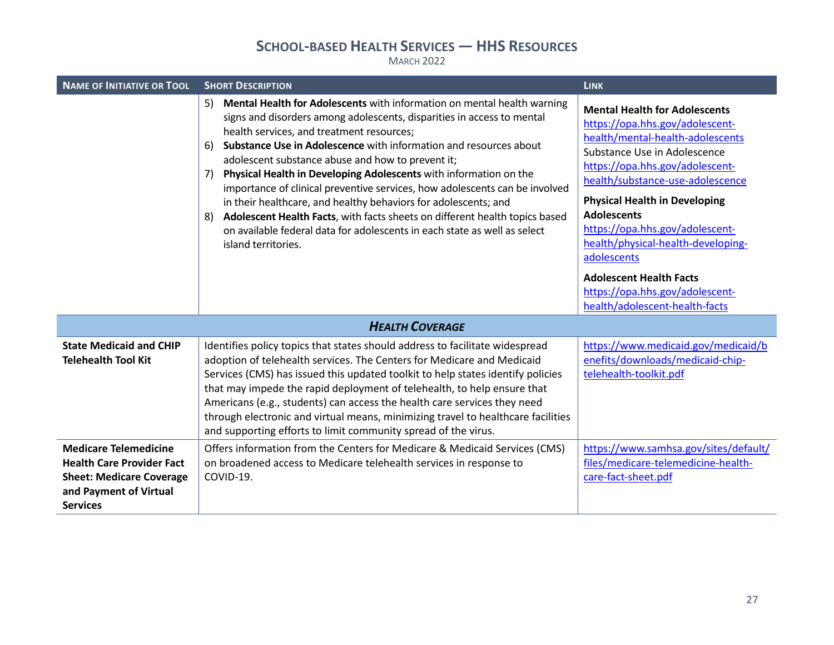| <b>NAME OF INITIATIVE OR TOOL</b>                                                                                                                | <b>SHORT DESCRIPTION</b>                                                                                                                                                                                                                                                                                                                                                                                                                                                                                                                                                                                                                                                                                                                                   | <b>LINK</b>                                                                                                                                                                                                                                                                                                                                                                                                                                                                     |  |  |
|--------------------------------------------------------------------------------------------------------------------------------------------------|------------------------------------------------------------------------------------------------------------------------------------------------------------------------------------------------------------------------------------------------------------------------------------------------------------------------------------------------------------------------------------------------------------------------------------------------------------------------------------------------------------------------------------------------------------------------------------------------------------------------------------------------------------------------------------------------------------------------------------------------------------|---------------------------------------------------------------------------------------------------------------------------------------------------------------------------------------------------------------------------------------------------------------------------------------------------------------------------------------------------------------------------------------------------------------------------------------------------------------------------------|--|--|
|                                                                                                                                                  | Mental Health for Adolescents with information on mental health warning<br>5)<br>signs and disorders among adolescents, disparities in access to mental<br>health services, and treatment resources;<br>Substance Use in Adolescence with information and resources about<br>6)<br>adolescent substance abuse and how to prevent it;<br>Physical Health in Developing Adolescents with information on the<br>7)<br>importance of clinical preventive services, how adolescents can be involved<br>in their healthcare, and healthy behaviors for adolescents; and<br>Adolescent Health Facts, with facts sheets on different health topics based<br>8)<br>on available federal data for adolescents in each state as well as select<br>island territories. | <b>Mental Health for Adolescents</b><br>https://opa.hhs.gov/adolescent-<br>health/mental-health-adolescents<br>Substance Use in Adolescence<br>https://opa.hhs.gov/adolescent-<br>health/substance-use-adolescence<br><b>Physical Health in Developing</b><br><b>Adolescents</b><br>https://opa.hhs.gov/adolescent-<br>health/physical-health-developing-<br>adolescents<br><b>Adolescent Health Facts</b><br>https://opa.hhs.gov/adolescent-<br>health/adolescent-health-facts |  |  |
| <b>HEALTH COVERAGE</b>                                                                                                                           |                                                                                                                                                                                                                                                                                                                                                                                                                                                                                                                                                                                                                                                                                                                                                            |                                                                                                                                                                                                                                                                                                                                                                                                                                                                                 |  |  |
| <b>State Medicaid and CHIP</b><br><b>Telehealth Tool Kit</b>                                                                                     | Identifies policy topics that states should address to facilitate widespread<br>adoption of telehealth services. The Centers for Medicare and Medicaid<br>Services (CMS) has issued this updated toolkit to help states identify policies<br>that may impede the rapid deployment of telehealth, to help ensure that<br>Americans (e.g., students) can access the health care services they need<br>through electronic and virtual means, minimizing travel to healthcare facilities<br>and supporting efforts to limit community spread of the virus.                                                                                                                                                                                                     | https://www.medicaid.gov/medicaid/b<br>enefits/downloads/medicaid-chip-<br>telehealth-toolkit.pdf                                                                                                                                                                                                                                                                                                                                                                               |  |  |
| <b>Medicare Telemedicine</b><br><b>Health Care Provider Fact</b><br><b>Sheet: Medicare Coverage</b><br>and Payment of Virtual<br><b>Services</b> | Offers information from the Centers for Medicare & Medicaid Services (CMS)<br>on broadened access to Medicare telehealth services in response to<br>COVID-19.                                                                                                                                                                                                                                                                                                                                                                                                                                                                                                                                                                                              | https://www.samhsa.gov/sites/default/<br>files/medicare-telemedicine-health-<br>care-fact-sheet.pdf                                                                                                                                                                                                                                                                                                                                                                             |  |  |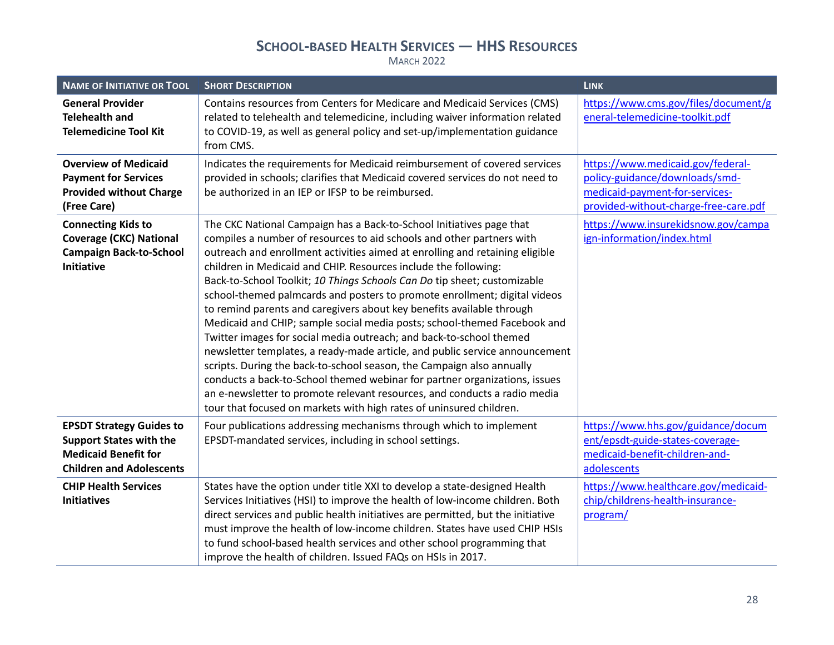| <b>NAME OF INITIATIVE OR TOOL</b>                                                                                                   | <b>SHORT DESCRIPTION</b>                                                                                                                                                                                                                                                                                                                                                                                                                                                                                                                                                                                                                                                                                                                                                                                                                                                                                                                                                                                                                                                        | <b>LINK</b>                                                                                                                                    |
|-------------------------------------------------------------------------------------------------------------------------------------|---------------------------------------------------------------------------------------------------------------------------------------------------------------------------------------------------------------------------------------------------------------------------------------------------------------------------------------------------------------------------------------------------------------------------------------------------------------------------------------------------------------------------------------------------------------------------------------------------------------------------------------------------------------------------------------------------------------------------------------------------------------------------------------------------------------------------------------------------------------------------------------------------------------------------------------------------------------------------------------------------------------------------------------------------------------------------------|------------------------------------------------------------------------------------------------------------------------------------------------|
| <b>General Provider</b><br><b>Telehealth and</b><br><b>Telemedicine Tool Kit</b>                                                    | Contains resources from Centers for Medicare and Medicaid Services (CMS)<br>related to telehealth and telemedicine, including waiver information related<br>to COVID-19, as well as general policy and set-up/implementation guidance<br>from CMS.                                                                                                                                                                                                                                                                                                                                                                                                                                                                                                                                                                                                                                                                                                                                                                                                                              | https://www.cms.gov/files/document/g<br>eneral-telemedicine-toolkit.pdf                                                                        |
| <b>Overview of Medicaid</b><br><b>Payment for Services</b><br><b>Provided without Charge</b><br>(Free Care)                         | Indicates the requirements for Medicaid reimbursement of covered services<br>provided in schools; clarifies that Medicaid covered services do not need to<br>be authorized in an IEP or IFSP to be reimbursed.                                                                                                                                                                                                                                                                                                                                                                                                                                                                                                                                                                                                                                                                                                                                                                                                                                                                  | https://www.medicaid.gov/federal-<br>policy-guidance/downloads/smd-<br>medicaid-payment-for-services-<br>provided-without-charge-free-care.pdf |
| <b>Connecting Kids to</b><br><b>Coverage (CKC) National</b><br><b>Campaign Back-to-School</b><br><b>Initiative</b>                  | The CKC National Campaign has a Back-to-School Initiatives page that<br>compiles a number of resources to aid schools and other partners with<br>outreach and enrollment activities aimed at enrolling and retaining eligible<br>children in Medicaid and CHIP. Resources include the following:<br>Back-to-School Toolkit; 10 Things Schools Can Do tip sheet; customizable<br>school-themed palmcards and posters to promote enrollment; digital videos<br>to remind parents and caregivers about key benefits available through<br>Medicaid and CHIP; sample social media posts; school-themed Facebook and<br>Twitter images for social media outreach; and back-to-school themed<br>newsletter templates, a ready-made article, and public service announcement<br>scripts. During the back-to-school season, the Campaign also annually<br>conducts a back-to-School themed webinar for partner organizations, issues<br>an e-newsletter to promote relevant resources, and conducts a radio media<br>tour that focused on markets with high rates of uninsured children. | https://www.insurekidsnow.gov/campa<br>ign-information/index.html                                                                              |
| <b>EPSDT Strategy Guides to</b><br><b>Support States with the</b><br><b>Medicaid Benefit for</b><br><b>Children and Adolescents</b> | Four publications addressing mechanisms through which to implement<br>EPSDT-mandated services, including in school settings.                                                                                                                                                                                                                                                                                                                                                                                                                                                                                                                                                                                                                                                                                                                                                                                                                                                                                                                                                    | https://www.hhs.gov/guidance/docum<br>ent/epsdt-guide-states-coverage-<br>medicaid-benefit-children-and-<br>adolescents                        |
| <b>CHIP Health Services</b><br><b>Initiatives</b>                                                                                   | States have the option under title XXI to develop a state-designed Health<br>Services Initiatives (HSI) to improve the health of low-income children. Both<br>direct services and public health initiatives are permitted, but the initiative<br>must improve the health of low-income children. States have used CHIP HSIs<br>to fund school-based health services and other school programming that<br>improve the health of children. Issued FAQs on HSIs in 2017.                                                                                                                                                                                                                                                                                                                                                                                                                                                                                                                                                                                                           | https://www.healthcare.gov/medicaid-<br>chip/childrens-health-insurance-<br>program/                                                           |